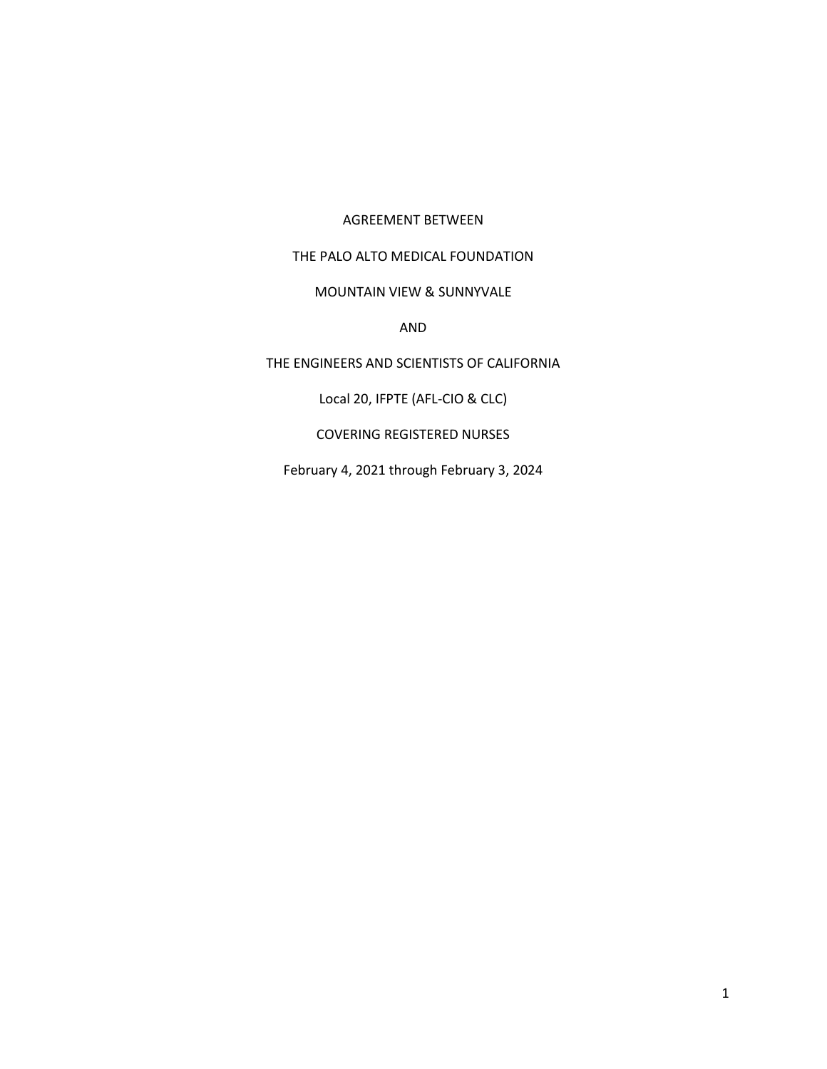# AGREEMENT BETWEEN

# THE PALO ALTO MEDICAL FOUNDATION

### MOUNTAIN VIEW & SUNNYVALE

#### AND

# THE ENGINEERS AND SCIENTISTS OF CALIFORNIA

Local 20, IFPTE (AFL-CIO & CLC)

#### COVERING REGISTERED NURSES

February 4, 2021 through February 3, 2024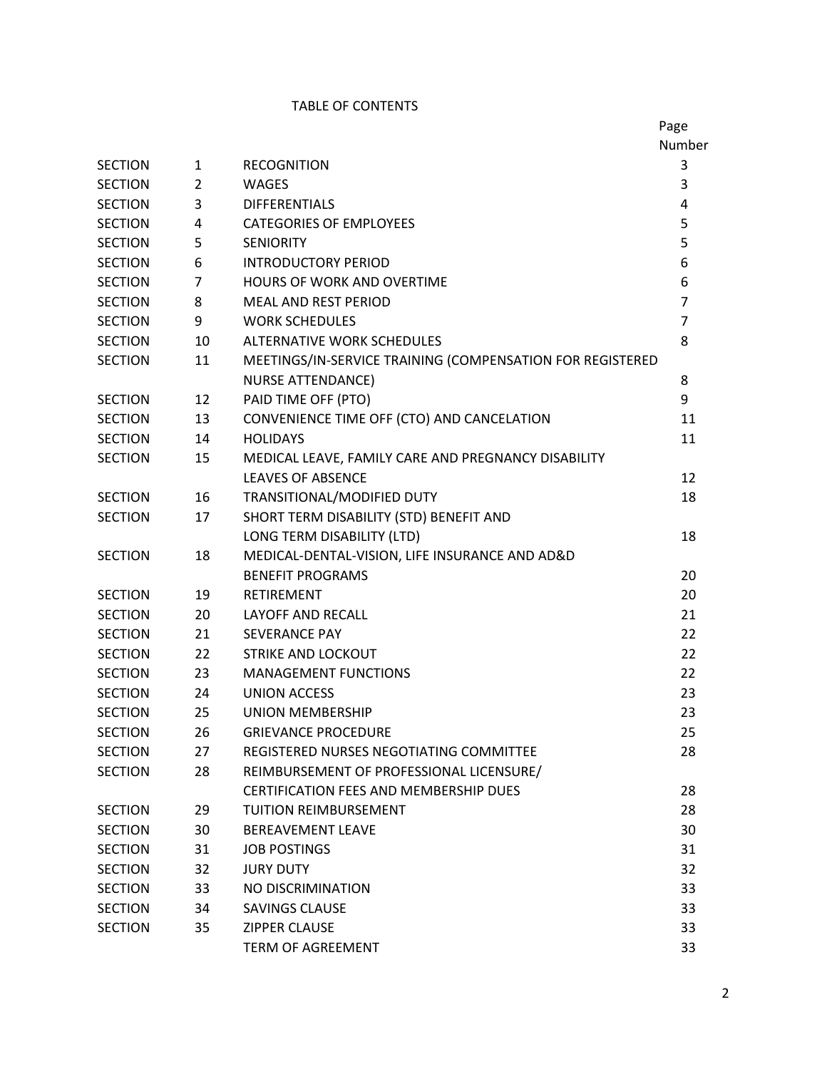### TABLE OF CONTENTS

|                |                |                                                           | Page           |
|----------------|----------------|-----------------------------------------------------------|----------------|
|                |                |                                                           | Number         |
| <b>SECTION</b> | $\mathbf{1}$   | <b>RECOGNITION</b>                                        | 3              |
| <b>SECTION</b> | $\overline{2}$ | <b>WAGES</b>                                              | 3              |
| <b>SECTION</b> | 3              | <b>DIFFERENTIALS</b>                                      | 4              |
| <b>SECTION</b> | 4              | <b>CATEGORIES OF EMPLOYEES</b>                            | 5              |
| <b>SECTION</b> | 5              | <b>SENIORITY</b>                                          | 5              |
| <b>SECTION</b> | 6              | <b>INTRODUCTORY PERIOD</b>                                | 6              |
| <b>SECTION</b> | 7              | <b>HOURS OF WORK AND OVERTIME</b>                         | 6              |
| <b>SECTION</b> | 8              | <b>MEAL AND REST PERIOD</b>                               | $\overline{7}$ |
| <b>SECTION</b> | 9              | <b>WORK SCHEDULES</b>                                     | $\overline{7}$ |
| <b>SECTION</b> | 10             | <b>ALTERNATIVE WORK SCHEDULES</b>                         | 8              |
| <b>SECTION</b> | 11             | MEETINGS/IN-SERVICE TRAINING (COMPENSATION FOR REGISTERED |                |
|                |                | <b>NURSE ATTENDANCE)</b>                                  | 8              |
| <b>SECTION</b> | 12             | PAID TIME OFF (PTO)                                       | 9              |
| <b>SECTION</b> | 13             | CONVENIENCE TIME OFF (CTO) AND CANCELATION                | 11             |
| <b>SECTION</b> | 14             | <b>HOLIDAYS</b>                                           | 11             |
| <b>SECTION</b> | 15             | MEDICAL LEAVE, FAMILY CARE AND PREGNANCY DISABILITY       |                |
|                |                | <b>LEAVES OF ABSENCE</b>                                  | 12             |
| <b>SECTION</b> | 16             | TRANSITIONAL/MODIFIED DUTY                                | 18             |
| <b>SECTION</b> | 17             | SHORT TERM DISABILITY (STD) BENEFIT AND                   |                |
|                |                | LONG TERM DISABILITY (LTD)                                | 18             |
| <b>SECTION</b> | 18             | MEDICAL-DENTAL-VISION, LIFE INSURANCE AND AD&D            |                |
|                |                | <b>BENEFIT PROGRAMS</b>                                   | 20             |
| <b>SECTION</b> | 19             | <b>RETIREMENT</b>                                         | 20             |
| <b>SECTION</b> | 20             | <b>LAYOFF AND RECALL</b>                                  | 21             |
| <b>SECTION</b> | 21             | <b>SEVERANCE PAY</b>                                      | 22             |
| <b>SECTION</b> | 22             | STRIKE AND LOCKOUT                                        | 22             |
| <b>SECTION</b> | 23             | <b>MANAGEMENT FUNCTIONS</b>                               | 22             |
| <b>SECTION</b> | 24             | <b>UNION ACCESS</b>                                       | 23             |
| <b>SECTION</b> | 25             | <b>UNION MEMBERSHIP</b>                                   | 23             |
| <b>SECTION</b> | 26             | <b>GRIEVANCE PROCEDURE</b>                                | 25             |
| <b>SECTION</b> | 27             | REGISTERED NURSES NEGOTIATING COMMITTEE                   | 28             |
| <b>SECTION</b> | 28             | REIMBURSEMENT OF PROFESSIONAL LICENSURE/                  |                |
|                |                | <b>CERTIFICATION FEES AND MEMBERSHIP DUES</b>             | 28             |
| <b>SECTION</b> | 29             | <b>TUITION REIMBURSEMENT</b>                              | 28             |
| <b>SECTION</b> | 30             | <b>BEREAVEMENT LEAVE</b>                                  | 30             |
| <b>SECTION</b> | 31             | <b>JOB POSTINGS</b>                                       | 31             |
| <b>SECTION</b> | 32             | <b>JURY DUTY</b>                                          | 32             |
| <b>SECTION</b> | 33             | NO DISCRIMINATION                                         | 33             |
| <b>SECTION</b> | 34             | SAVINGS CLAUSE                                            | 33             |
| <b>SECTION</b> | 35             | <b>ZIPPER CLAUSE</b>                                      | 33             |
|                |                | <b>TERM OF AGREEMENT</b>                                  | 33             |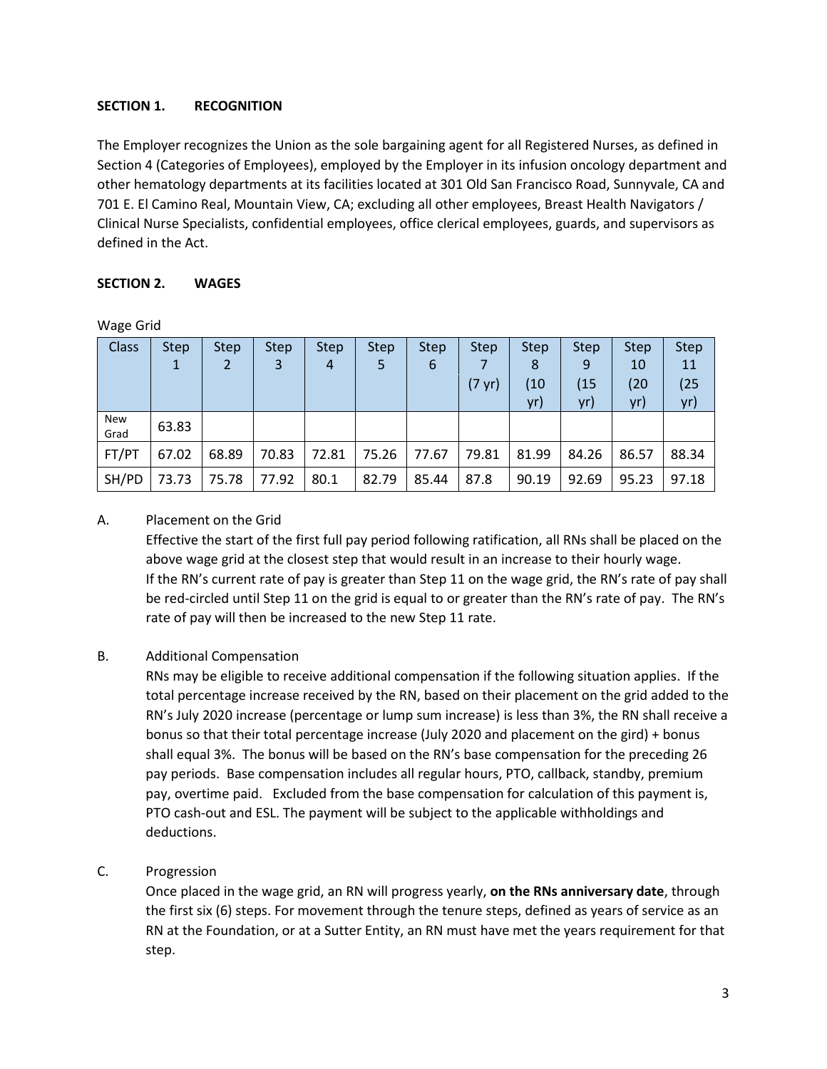# **SECTION 1. RECOGNITION**

The Employer recognizes the Union as the sole bargaining agent for all Registered Nurses, as defined in Section 4 (Categories of Employees), employed by the Employer in its infusion oncology department and other hematology departments at its facilities located at 301 Old San Francisco Road, Sunnyvale, CA and 701 E. El Camino Real, Mountain View, CA; excluding all other employees, Breast Health Navigators / Clinical Nurse Specialists, confidential employees, office clerical employees, guards, and supervisors as defined in the Act.

### **SECTION 2. WAGES**

Wage Grid

| <b>Class</b> | <b>Step</b> | <b>Step</b> | <b>Step</b> | <b>Step</b> | <b>Step</b> | <b>Step</b> | <b>Step</b>      | <b>Step</b> | <b>Step</b> | <b>Step</b> | <b>Step</b> |
|--------------|-------------|-------------|-------------|-------------|-------------|-------------|------------------|-------------|-------------|-------------|-------------|
|              |             | 2           | 3           | 4           | 5           | 6           |                  | 8           | 9           | 10          | 11          |
|              |             |             |             |             |             |             | $(7 \text{ yr})$ | (10         | (15)        | (20)        | (25)        |
|              |             |             |             |             |             |             |                  | yr)         | yr)         | yr)         | yr)         |
| New<br>Grad  | 63.83       |             |             |             |             |             |                  |             |             |             |             |
| FT/PT        | 67.02       | 68.89       | 70.83       | 72.81       | 75.26       | 77.67       | 79.81            | 81.99       | 84.26       | 86.57       | 88.34       |
| SH/PD        | 73.73       | 75.78       | 77.92       | 80.1        | 82.79       | 85.44       | 87.8             | 90.19       | 92.69       | 95.23       | 97.18       |

### A. Placement on the Grid

Effective the start of the first full pay period following ratification, all RNs shall be placed on the above wage grid at the closest step that would result in an increase to their hourly wage. If the RN's current rate of pay is greater than Step 11 on the wage grid, the RN's rate of pay shall be red-circled until Step 11 on the grid is equal to or greater than the RN's rate of pay. The RN's rate of pay will then be increased to the new Step 11 rate.

#### B. Additional Compensation

RNs may be eligible to receive additional compensation if the following situation applies. If the total percentage increase received by the RN, based on their placement on the grid added to the RN's July 2020 increase (percentage or lump sum increase) is less than 3%, the RN shall receive a bonus so that their total percentage increase (July 2020 and placement on the gird) + bonus shall equal 3%. The bonus will be based on the RN's base compensation for the preceding 26 pay periods. Base compensation includes all regular hours, PTO, callback, standby, premium pay, overtime paid. Excluded from the base compensation for calculation of this payment is, PTO cash-out and ESL. The payment will be subject to the applicable withholdings and deductions.

# C. Progression

Once placed in the wage grid, an RN will progress yearly, **on the RNs anniversary date**, through the first six (6) steps. For movement through the tenure steps, defined as years of service as an RN at the Foundation, or at a Sutter Entity, an RN must have met the years requirement for that step.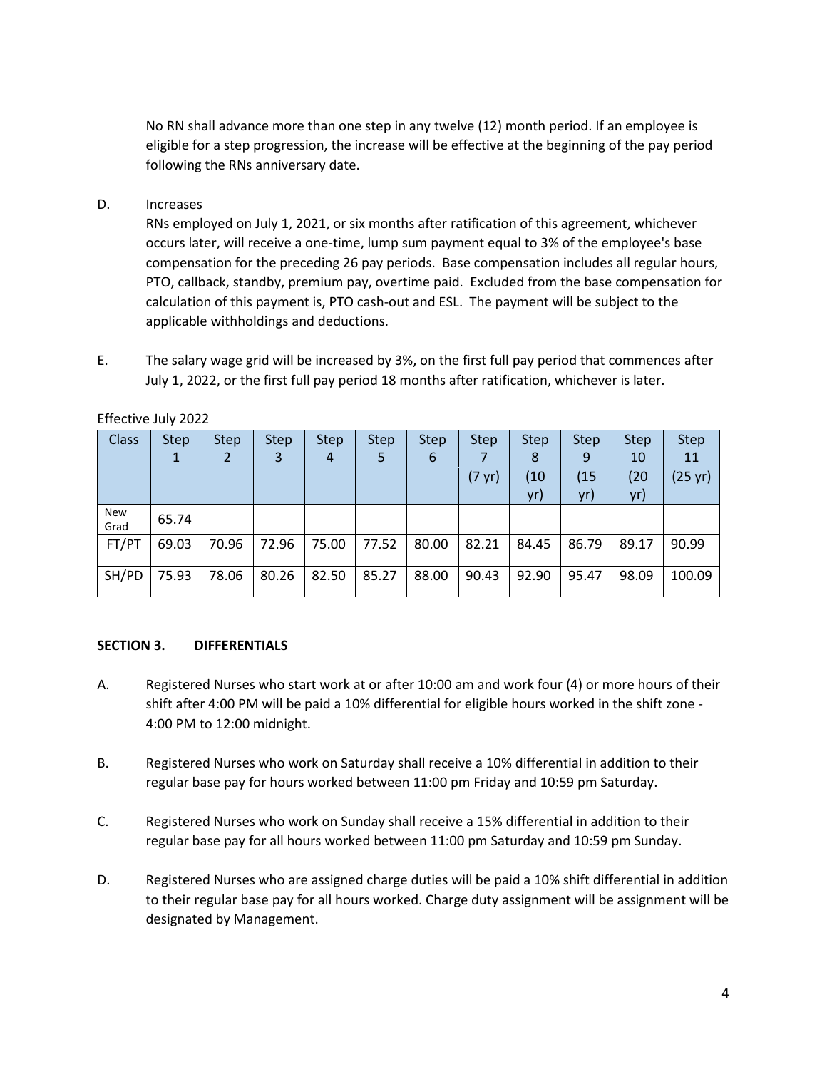No RN shall advance more than one step in any twelve (12) month period. If an employee is eligible for a step progression, the increase will be effective at the beginning of the pay period following the RNs anniversary date.

### D. Increases

RNs employed on July 1, 2021, or six months after ratification of this agreement, whichever occurs later, will receive a one-time, lump sum payment equal to 3% of the employee's base compensation for the preceding 26 pay periods. Base compensation includes all regular hours, PTO, callback, standby, premium pay, overtime paid. Excluded from the base compensation for calculation of this payment is, PTO cash-out and ESL. The payment will be subject to the applicable withholdings and deductions.

E. The salary wage grid will be increased by 3%, on the first full pay period that commences after July 1, 2022, or the first full pay period 18 months after ratification, whichever is later.

| <b>Class</b> | Step. | <b>Step</b> | <b>Step</b> | <b>Step</b> | <b>Step</b> | <b>Step</b> | <b>Step</b>      | <b>Step</b> | <b>Step</b> | <b>Step</b> | <b>Step</b> |
|--------------|-------|-------------|-------------|-------------|-------------|-------------|------------------|-------------|-------------|-------------|-------------|
|              | 1     |             | 3           | 4           | 5           | 6           |                  | 8           | 9           | 10          | 11          |
|              |       |             |             |             |             |             | $(7 \text{ yr})$ | (10         | (15         | (20         | (25 yr)     |
|              |       |             |             |             |             |             |                  | yr)         | yr)         | yr)         |             |
| New<br>Grad  | 65.74 |             |             |             |             |             |                  |             |             |             |             |
| FT/PT        | 69.03 | 70.96       | 72.96       | 75.00       | 77.52       | 80.00       | 82.21            | 84.45       | 86.79       | 89.17       | 90.99       |
| SH/PD        | 75.93 | 78.06       | 80.26       | 82.50       | 85.27       | 88.00       | 90.43            | 92.90       | 95.47       | 98.09       | 100.09      |

Effective July 2022

#### **SECTION 3. DIFFERENTIALS**

- A. Registered Nurses who start work at or after 10:00 am and work four (4) or more hours of their shift after 4:00 PM will be paid a 10% differential for eligible hours worked in the shift zone - 4:00 PM to 12:00 midnight.
- B. Registered Nurses who work on Saturday shall receive a 10% differential in addition to their regular base pay for hours worked between 11:00 pm Friday and 10:59 pm Saturday.
- C. Registered Nurses who work on Sunday shall receive a 15% differential in addition to their regular base pay for all hours worked between 11:00 pm Saturday and 10:59 pm Sunday.
- D. Registered Nurses who are assigned charge duties will be paid a 10% shift differential in addition to their regular base pay for all hours worked. Charge duty assignment will be assignment will be designated by Management.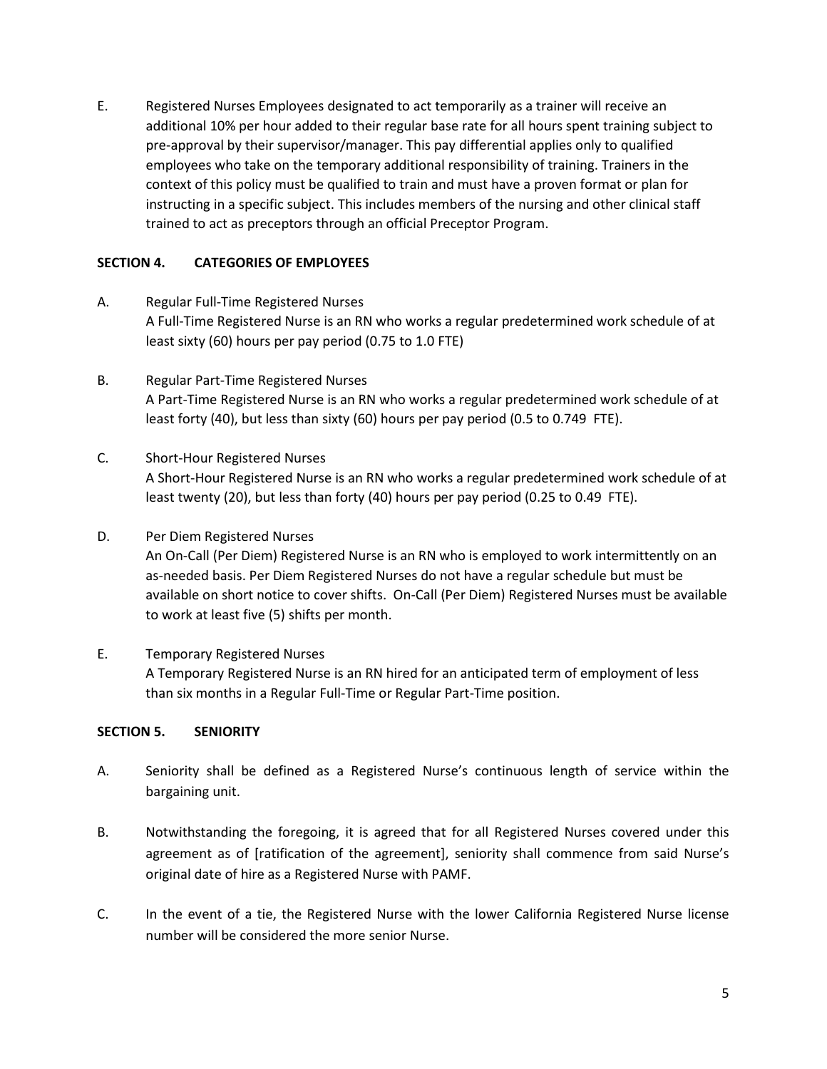E. Registered Nurses Employees designated to act temporarily as a trainer will receive an additional 10% per hour added to their regular base rate for all hours spent training subject to pre-approval by their supervisor/manager. This pay differential applies only to qualified employees who take on the temporary additional responsibility of training. Trainers in the context of this policy must be qualified to train and must have a proven format or plan for instructing in a specific subject. This includes members of the nursing and other clinical staff trained to act as preceptors through an official Preceptor Program.

### **SECTION 4. CATEGORIES OF EMPLOYEES**

- A. Regular Full-Time Registered Nurses A Full-Time Registered Nurse is an RN who works a regular predetermined work schedule of at least sixty (60) hours per pay period (0.75 to 1.0 FTE)
- B. Regular Part-Time Registered Nurses A Part-Time Registered Nurse is an RN who works a regular predetermined work schedule of at least forty (40), but less than sixty (60) hours per pay period (0.5 to 0.749 FTE).
- C. Short-Hour Registered Nurses A Short-Hour Registered Nurse is an RN who works a regular predetermined work schedule of at least twenty (20), but less than forty (40) hours per pay period (0.25 to 0.49 FTE).
- D. Per Diem Registered Nurses An On-Call (Per Diem) Registered Nurse is an RN who is employed to work intermittently on an as-needed basis. Per Diem Registered Nurses do not have a regular schedule but must be available on short notice to cover shifts. On-Call (Per Diem) Registered Nurses must be available to work at least five (5) shifts per month.
- E. Temporary Registered Nurses A Temporary Registered Nurse is an RN hired for an anticipated term of employment of less than six months in a Regular Full-Time or Regular Part-Time position.

# **SECTION 5. SENIORITY**

- A. Seniority shall be defined as a Registered Nurse's continuous length of service within the bargaining unit.
- B. Notwithstanding the foregoing, it is agreed that for all Registered Nurses covered under this agreement as of [ratification of the agreement], seniority shall commence from said Nurse's original date of hire as a Registered Nurse with PAMF.
- C. In the event of a tie, the Registered Nurse with the lower California Registered Nurse license number will be considered the more senior Nurse.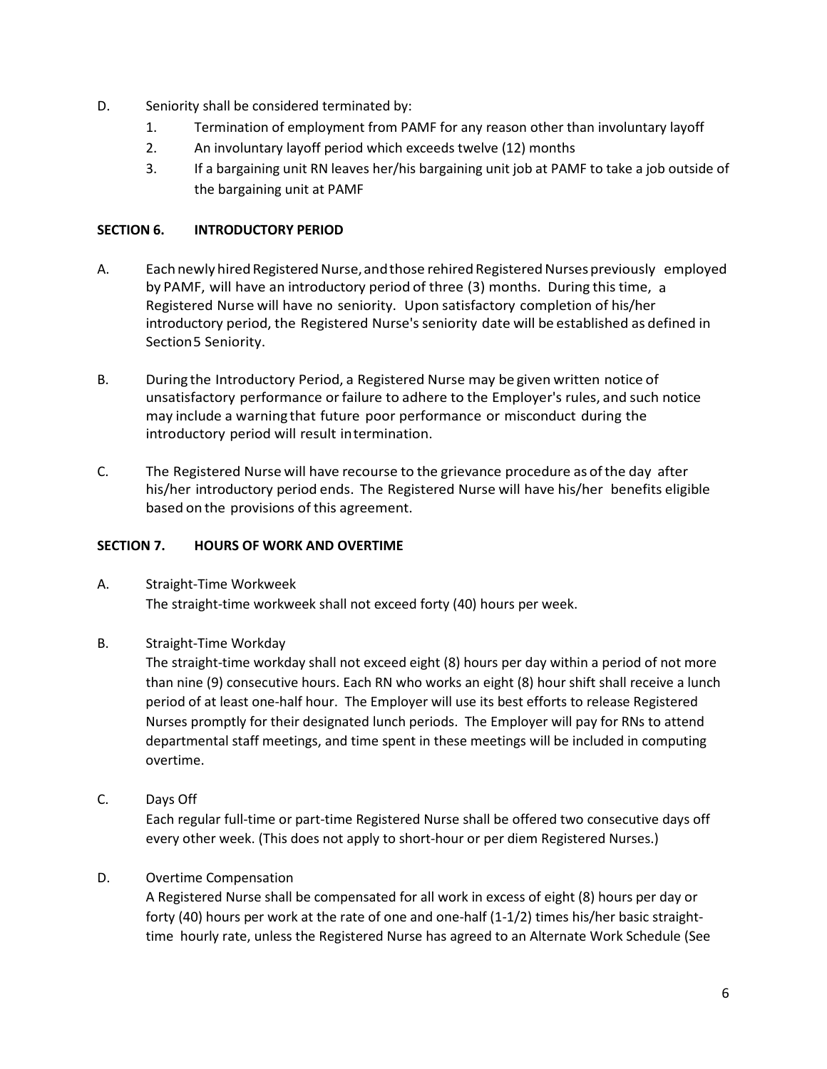- D. Seniority shall be considered terminated by:
	- 1. Termination of employment from PAMF for any reason other than involuntary layoff
	- 2. An involuntary layoff period which exceeds twelve (12) months
	- 3. If a bargaining unit RN leaves her/his bargaining unit job at PAMF to take a job outside of the bargaining unit at PAMF

### **SECTION 6. INTRODUCTORY PERIOD**

- A. Each newly hired Registered Nurse, and those rehired Registered Nurses previously employed by PAMF, will have an introductory period of three (3) months. During thistime, a Registered Nurse will have no seniority. Upon satisfactory completion of his/her introductory period, the Registered Nurse'sseniority date will be established as defined in Section5 Seniority.
- B. During the Introductory Period, a Registered Nurse may be given written notice of unsatisfactory performance orfailure to adhere to the Employer's rules, and such notice may include a warning that future poor performance or misconduct during the introductory period will result intermination.
- C. The Registered Nurse will have recourse to the grievance procedure as ofthe day after his/her introductory period ends. The Registered Nurse will have his/her benefits eligible based on the provisions of this agreement.

#### **SECTION 7. HOURS OF WORK AND OVERTIME**

- A. Straight-Time Workweek The straight-time workweek shall not exceed forty (40) hours per week.
- B. Straight-Time Workday

The straight-time workday shall not exceed eight (8) hours per day within a period of not more than nine (9) consecutive hours. Each RN who works an eight (8) hour shift shall receive a lunch period of at least one-half hour. The Employer will use its best efforts to release Registered Nurses promptly for their designated lunch periods. The Employer will pay for RNs to attend departmental staff meetings, and time spent in these meetings will be included in computing overtime.

C. Days Off

Each regular full-time or part-time Registered Nurse shall be offered two consecutive days off every other week. (This does not apply to short-hour or per diem Registered Nurses.)

# D. Overtime Compensation

A Registered Nurse shall be compensated for all work in excess of eight (8) hours per day or forty (40) hours per work at the rate of one and one-half (1-1/2) times his/her basic straighttime hourly rate, unless the Registered Nurse has agreed to an Alternate Work Schedule (See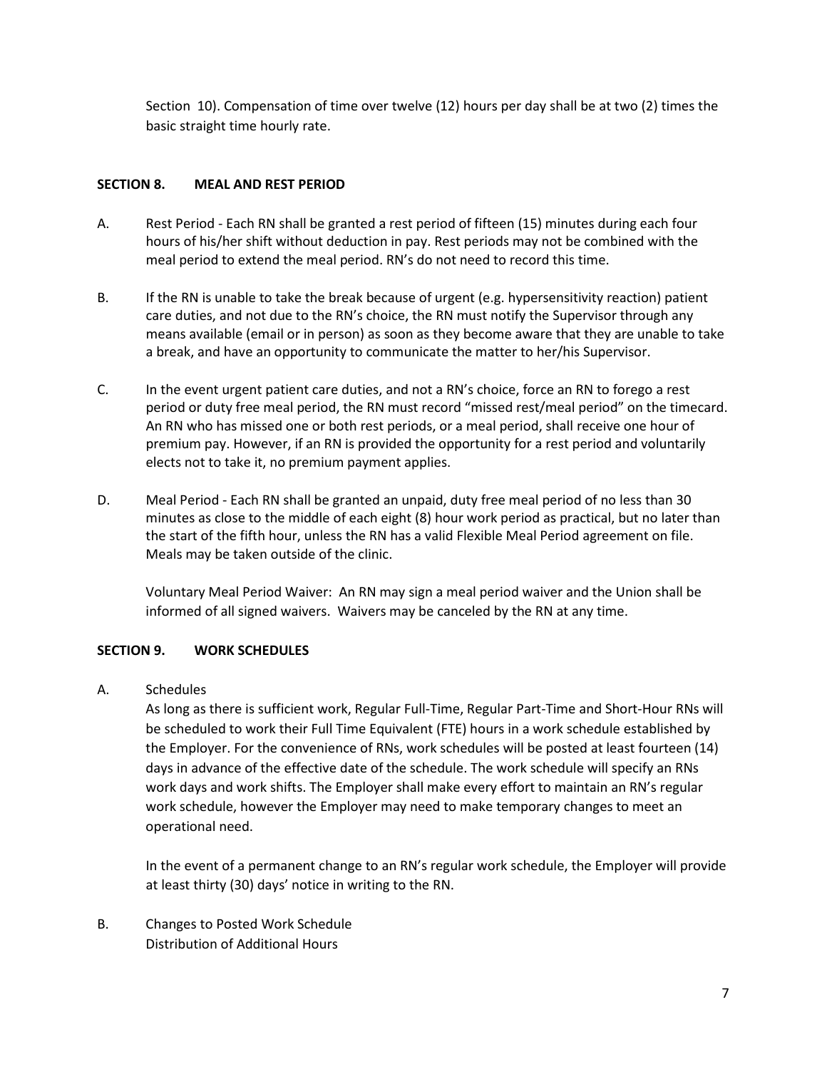Section 10). Compensation of time over twelve (12) hours per day shall be at two (2) times the basic straight time hourly rate.

### **SECTION 8. MEAL AND REST PERIOD**

- A. Rest Period Each RN shall be granted a rest period of fifteen (15) minutes during each four hours of his/her shift without deduction in pay. Rest periods may not be combined with the meal period to extend the meal period. RN's do not need to record this time.
- B. If the RN is unable to take the break because of urgent (e.g. hypersensitivity reaction) patient care duties, and not due to the RN's choice, the RN must notify the Supervisor through any means available (email or in person) as soon as they become aware that they are unable to take a break, and have an opportunity to communicate the matter to her/his Supervisor.
- C. In the event urgent patient care duties, and not a RN's choice, force an RN to forego a rest period or duty free meal period, the RN must record "missed rest/meal period" on the timecard. An RN who has missed one or both rest periods, or a meal period, shall receive one hour of premium pay. However, if an RN is provided the opportunity for a rest period and voluntarily elects not to take it, no premium payment applies.
- D. Meal Period Each RN shall be granted an unpaid, duty free meal period of no less than 30 minutes as close to the middle of each eight (8) hour work period as practical, but no later than the start of the fifth hour, unless the RN has a valid Flexible Meal Period agreement on file. Meals may be taken outside of the clinic.

Voluntary Meal Period Waiver: An RN may sign a meal period waiver and the Union shall be informed of all signed waivers. Waivers may be canceled by the RN at any time.

# **SECTION 9. WORK SCHEDULES**

A. Schedules

As long as there is sufficient work, Regular Full-Time, Regular Part-Time and Short-Hour RNs will be scheduled to work their Full Time Equivalent (FTE) hours in a work schedule established by the Employer. For the convenience of RNs, work schedules will be posted at least fourteen (14) days in advance of the effective date of the schedule. The work schedule will specify an RNs work days and work shifts. The Employer shall make every effort to maintain an RN's regular work schedule, however the Employer may need to make temporary changes to meet an operational need.

In the event of a permanent change to an RN's regular work schedule, the Employer will provide at least thirty (30) days' notice in writing to the RN.

B. Changes to Posted Work Schedule Distribution of Additional Hours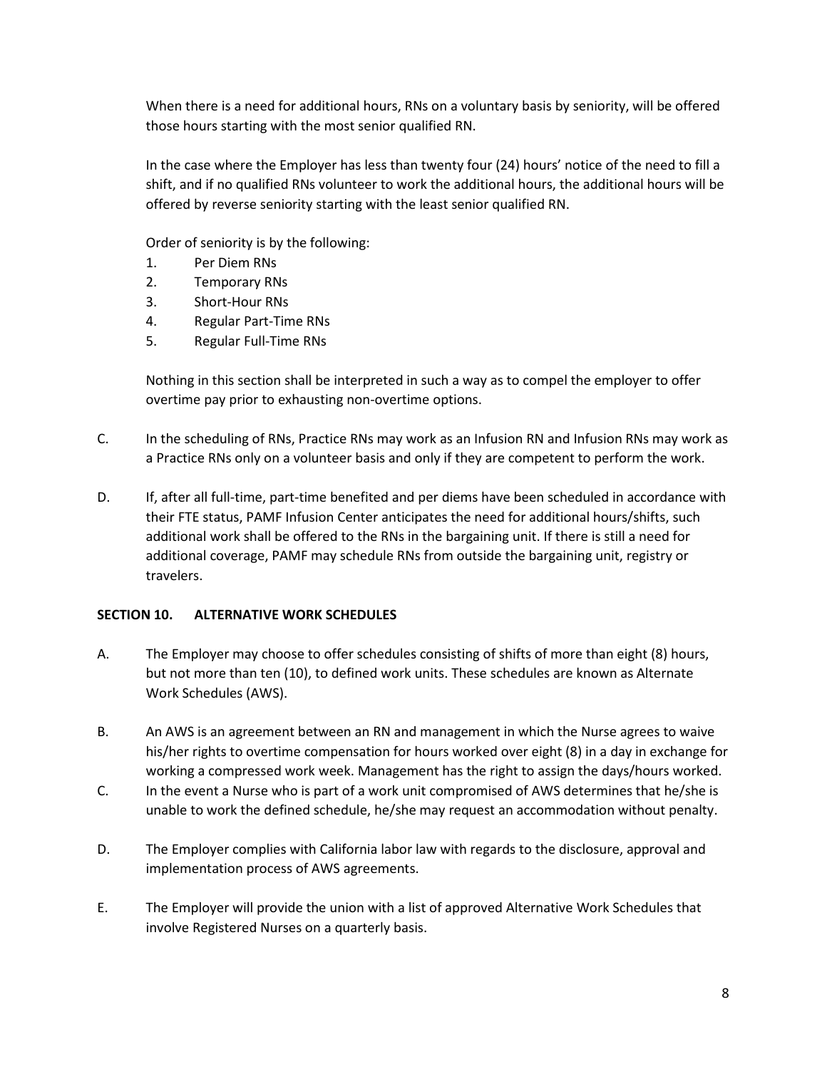When there is a need for additional hours, RNs on a voluntary basis by seniority, will be offered those hours starting with the most senior qualified RN.

In the case where the Employer has less than twenty four (24) hours' notice of the need to fill a shift, and if no qualified RNs volunteer to work the additional hours, the additional hours will be offered by reverse seniority starting with the least senior qualified RN.

Order of seniority is by the following:

- 1. Per Diem RNs
- 2. Temporary RNs
- 3. Short-Hour RNs
- 4. Regular Part-Time RNs
- 5. Regular Full-Time RNs

Nothing in this section shall be interpreted in such a way as to compel the employer to offer overtime pay prior to exhausting non-overtime options.

- C. In the scheduling of RNs, Practice RNs may work as an Infusion RN and Infusion RNs may work as a Practice RNs only on a volunteer basis and only if they are competent to perform the work.
- D. If, after all full-time, part-time benefited and per diems have been scheduled in accordance with their FTE status, PAMF Infusion Center anticipates the need for additional hours/shifts, such additional work shall be offered to the RNs in the bargaining unit. If there is still a need for additional coverage, PAMF may schedule RNs from outside the bargaining unit, registry or travelers.

# **SECTION 10. ALTERNATIVE WORK SCHEDULES**

- A. The Employer may choose to offer schedules consisting of shifts of more than eight (8) hours, but not more than ten (10), to defined work units. These schedules are known as Alternate Work Schedules (AWS).
- B. An AWS is an agreement between an RN and management in which the Nurse agrees to waive his/her rights to overtime compensation for hours worked over eight (8) in a day in exchange for working a compressed work week. Management has the right to assign the days/hours worked.
- C. In the event a Nurse who is part of a work unit compromised of AWS determines that he/she is unable to work the defined schedule, he/she may request an accommodation without penalty.
- D. The Employer complies with California labor law with regards to the disclosure, approval and implementation process of AWS agreements.
- E. The Employer will provide the union with a list of approved Alternative Work Schedules that involve Registered Nurses on a quarterly basis.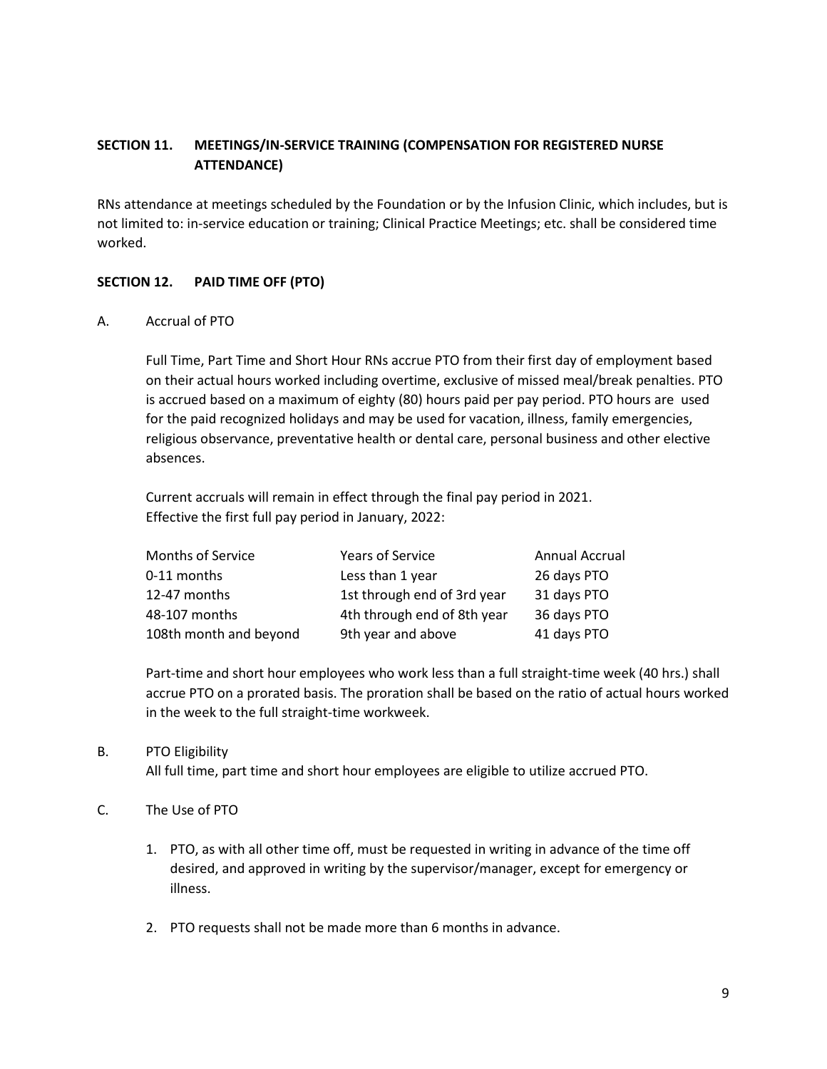# **SECTION 11. MEETINGS/IN-SERVICE TRAINING (COMPENSATION FOR REGISTERED NURSE ATTENDANCE)**

RNs attendance at meetings scheduled by the Foundation or by the Infusion Clinic, which includes, but is not limited to: in-service education or training; Clinical Practice Meetings; etc. shall be considered time worked.

# **SECTION 12. PAID TIME OFF (PTO)**

A. Accrual of PTO

Full Time, Part Time and Short Hour RNs accrue PTO from their first day of employment based on their actual hours worked including overtime, exclusive of missed meal/break penalties. PTO is accrued based on a maximum of eighty (80) hours paid per pay period. PTO hours are used for the paid recognized holidays and may be used for vacation, illness, family emergencies, religious observance, preventative health or dental care, personal business and other elective absences.

Current accruals will remain in effect through the final pay period in 2021. Effective the first full pay period in January, 2022:

| Months of Service      | <b>Years of Service</b>     | Annual Accrual |
|------------------------|-----------------------------|----------------|
| 0-11 months            | Less than 1 year            | 26 days PTO    |
| 12-47 months           | 1st through end of 3rd year | 31 days PTO    |
| 48-107 months          | 4th through end of 8th year | 36 days PTO    |
| 108th month and beyond | 9th year and above          | 41 days PTO    |

Part-time and short hour employees who work less than a full straight-time week (40 hrs.) shall accrue PTO on a prorated basis. The proration shall be based on the ratio of actual hours worked in the week to the full straight-time workweek.

# B. PTO Eligibility

All full time, part time and short hour employees are eligible to utilize accrued PTO.

# C. The Use of PTO

- 1. PTO, as with all other time off, must be requested in writing in advance of the time off desired, and approved in writing by the supervisor/manager, except for emergency or illness.
- 2. PTO requests shall not be made more than 6 months in advance.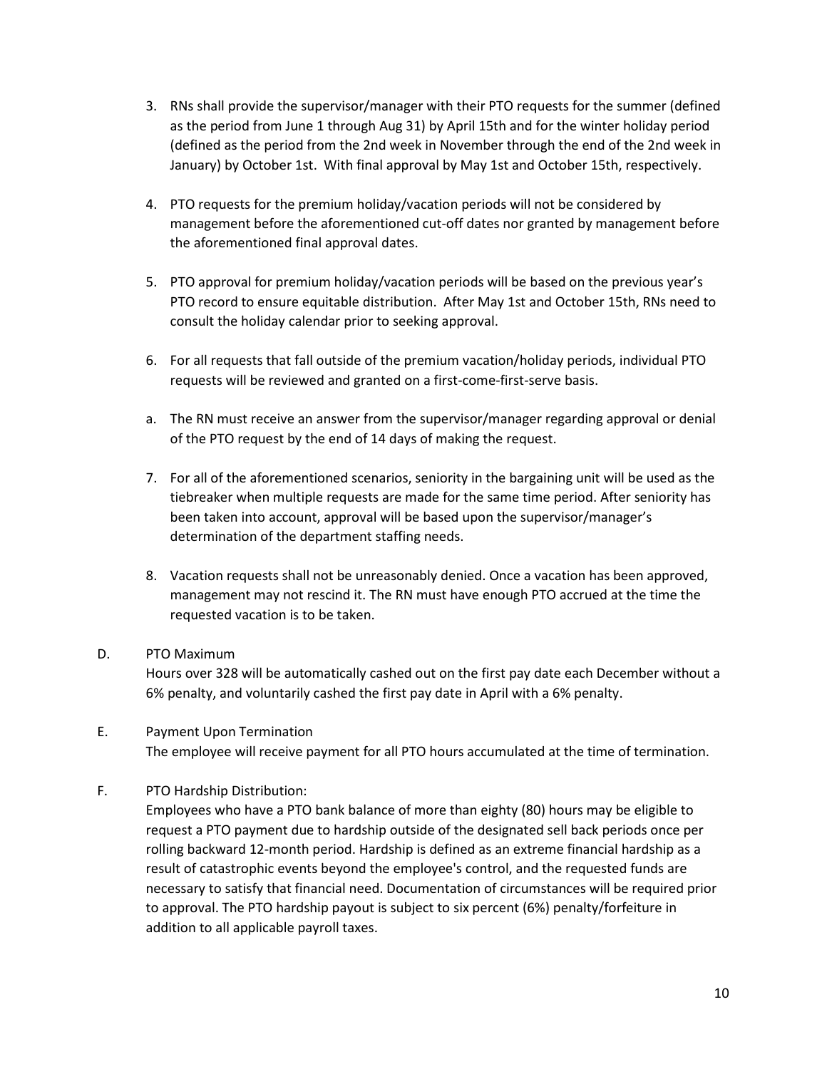- 3. RNs shall provide the supervisor/manager with their PTO requests for the summer (defined as the period from June 1 through Aug 31) by April 15th and for the winter holiday period (defined as the period from the 2nd week in November through the end of the 2nd week in January) by October 1st. With final approval by May 1st and October 15th, respectively.
- 4. PTO requests for the premium holiday/vacation periods will not be considered by management before the aforementioned cut-off dates nor granted by management before the aforementioned final approval dates.
- 5. PTO approval for premium holiday/vacation periods will be based on the previous year's PTO record to ensure equitable distribution. After May 1st and October 15th, RNs need to consult the holiday calendar prior to seeking approval.
- 6. For all requests that fall outside of the premium vacation/holiday periods, individual PTO requests will be reviewed and granted on a first-come-first-serve basis.
- a. The RN must receive an answer from the supervisor/manager regarding approval or denial of the PTO request by the end of 14 days of making the request.
- 7. For all of the aforementioned scenarios, seniority in the bargaining unit will be used as the tiebreaker when multiple requests are made for the same time period. After seniority has been taken into account, approval will be based upon the supervisor/manager's determination of the department staffing needs.
- 8. Vacation requests shall not be unreasonably denied. Once a vacation has been approved, management may not rescind it. The RN must have enough PTO accrued at the time the requested vacation is to be taken.

# D. PTO Maximum

Hours over 328 will be automatically cashed out on the first pay date each December without a 6% penalty, and voluntarily cashed the first pay date in April with a 6% penalty.

- E. Payment Upon Termination The employee will receive payment for all PTO hours accumulated at the time of termination.
- F. PTO Hardship Distribution:

Employees who have a PTO bank balance of more than eighty (80) hours may be eligible to request a PTO payment due to hardship outside of the designated sell back periods once per rolling backward 12-month period. Hardship is defined as an extreme financial hardship as a result of catastrophic events beyond the employee's control, and the requested funds are necessary to satisfy that financial need. Documentation of circumstances will be required prior to approval. The PTO hardship payout is subject to six percent (6%) penalty/forfeiture in addition to all applicable payroll taxes.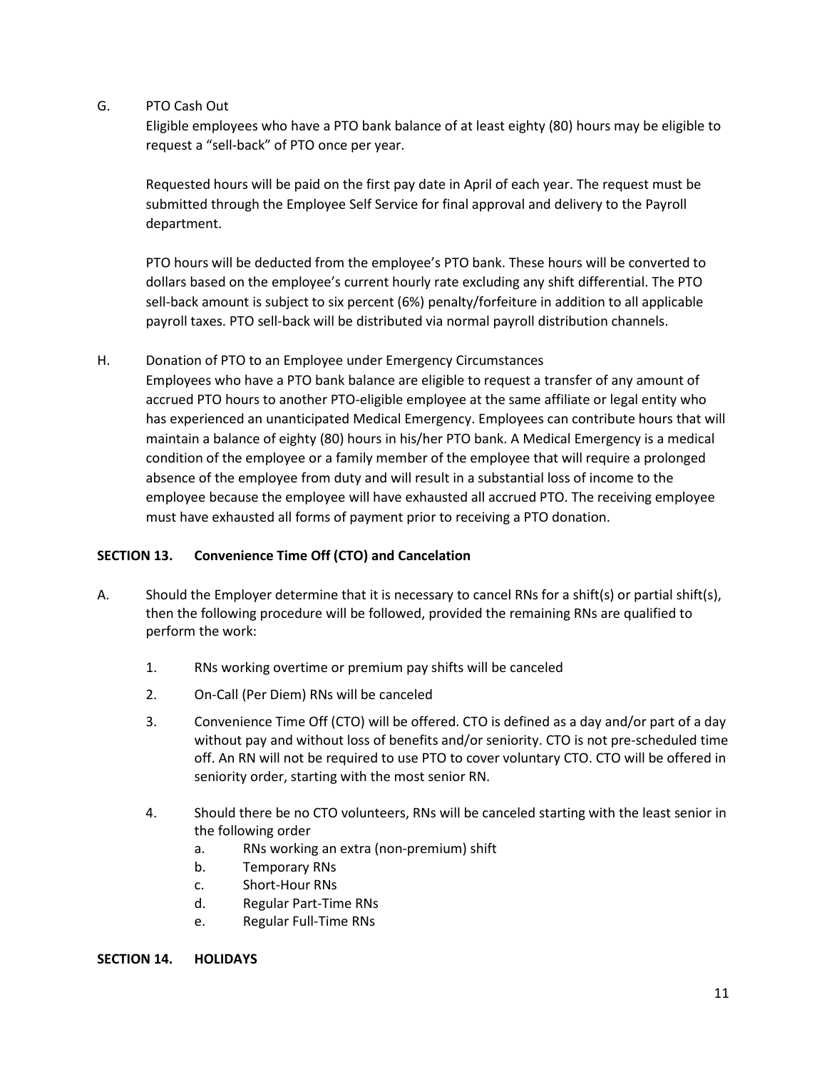G. PTO Cash Out

Eligible employees who have a PTO bank balance of at least eighty (80) hours may be eligible to request a "sell-back" of PTO once per year.

Requested hours will be paid on the first pay date in April of each year. The request must be submitted through the Employee Self Service for final approval and delivery to the Payroll department.

PTO hours will be deducted from the employee's PTO bank. These hours will be converted to dollars based on the employee's current hourly rate excluding any shift differential. The PTO sell-back amount is subject to six percent (6%) penalty/forfeiture in addition to all applicable payroll taxes. PTO sell-back will be distributed via normal payroll distribution channels.

# H. Donation of PTO to an Employee under Emergency Circumstances

Employees who have a PTO bank balance are eligible to request a transfer of any amount of accrued PTO hours to another PTO-eligible employee at the same affiliate or legal entity who has experienced an unanticipated Medical Emergency. Employees can contribute hours that will maintain a balance of eighty (80) hours in his/her PTO bank. A Medical Emergency is a medical condition of the employee or a family member of the employee that will require a prolonged absence of the employee from duty and will result in a substantial loss of income to the employee because the employee will have exhausted all accrued PTO. The receiving employee must have exhausted all forms of payment prior to receiving a PTO donation.

# **SECTION 13. Convenience Time Off (CTO) and Cancelation**

- A. Should the Employer determine that it is necessary to cancel RNs for a shift(s) or partial shift(s), then the following procedure will be followed, provided the remaining RNs are qualified to perform the work:
	- 1. RNs working overtime or premium pay shifts will be canceled
	- 2. On-Call (Per Diem) RNs will be canceled
	- 3. Convenience Time Off (CTO) will be offered. CTO is defined as a day and/or part of a day without pay and without loss of benefits and/or seniority. CTO is not pre-scheduled time off. An RN will not be required to use PTO to cover voluntary CTO. CTO will be offered in seniority order, starting with the most senior RN.
	- 4. Should there be no CTO volunteers, RNs will be canceled starting with the least senior in the following order
		- a. RNs working an extra (non-premium) shift
		- b. Temporary RNs
		- c. Short-Hour RNs
		- d. Regular Part-Time RNs
		- e. Regular Full-Time RNs

#### **SECTION 14. HOLIDAYS**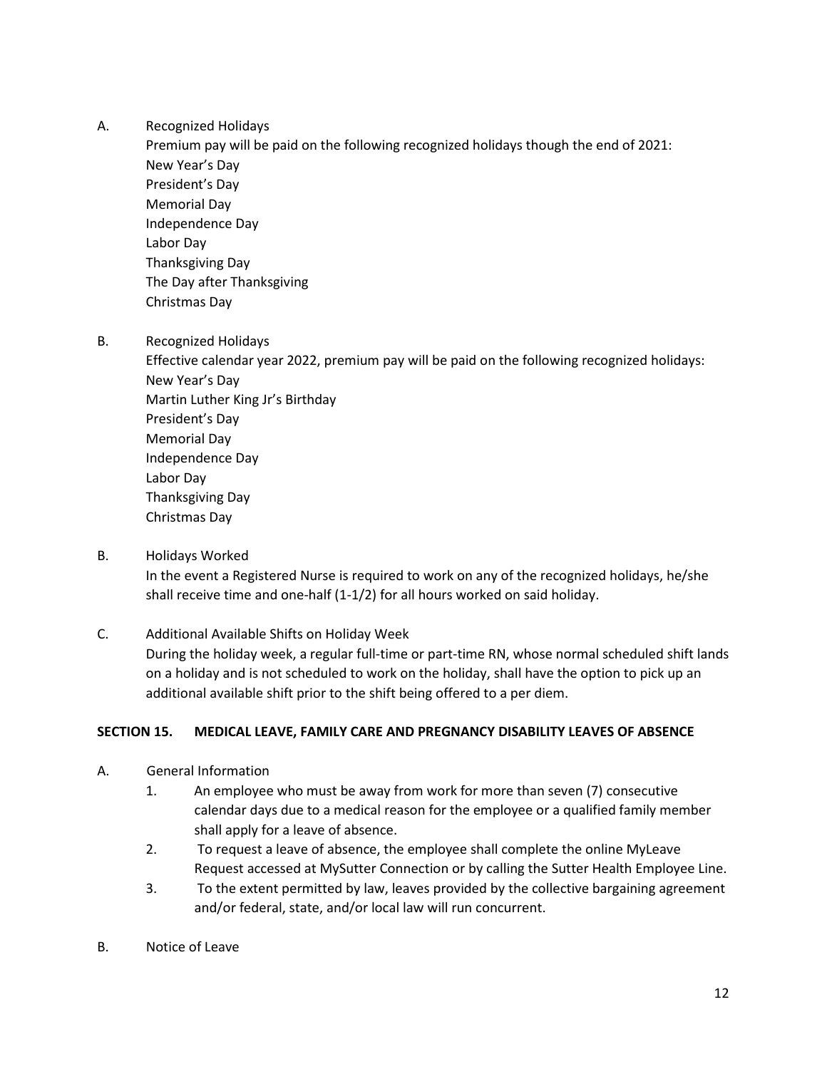### A. Recognized Holidays

Premium pay will be paid on the following recognized holidays though the end of 2021: New Year's Day President's Day Memorial Day Independence Day Labor Day Thanksgiving Day The Day after Thanksgiving Christmas Day

B. Recognized Holidays

Effective calendar year 2022, premium pay will be paid on the following recognized holidays: New Year's Day Martin Luther King Jr's Birthday President's Day Memorial Day Independence Day Labor Day Thanksgiving Day Christmas Day

B. Holidays Worked

In the event a Registered Nurse is required to work on any of the recognized holidays, he/she shall receive time and one-half (1-1/2) for all hours worked on said holiday.

# C. Additional Available Shifts on Holiday Week

During the holiday week, a regular full-time or part-time RN, whose normal scheduled shift lands on a holiday and is not scheduled to work on the holiday, shall have the option to pick up an additional available shift prior to the shift being offered to a per diem.

# **SECTION 15. MEDICAL LEAVE, FAMILY CARE AND PREGNANCY DISABILITY LEAVES OF ABSENCE**

- A. General Information
	- 1. An employee who must be away from work for more than seven (7) consecutive calendar days due to a medical reason for the employee or a qualified family member shall apply for a leave of absence.
	- 2. To request a leave of absence, the employee shall complete the online MyLeave Request accessed at MySutter Connection or by calling the Sutter Health Employee Line.
	- 3. To the extent permitted by law, leaves provided by the collective bargaining agreement and/or federal, state, and/or local law will run concurrent.
- B. Notice of Leave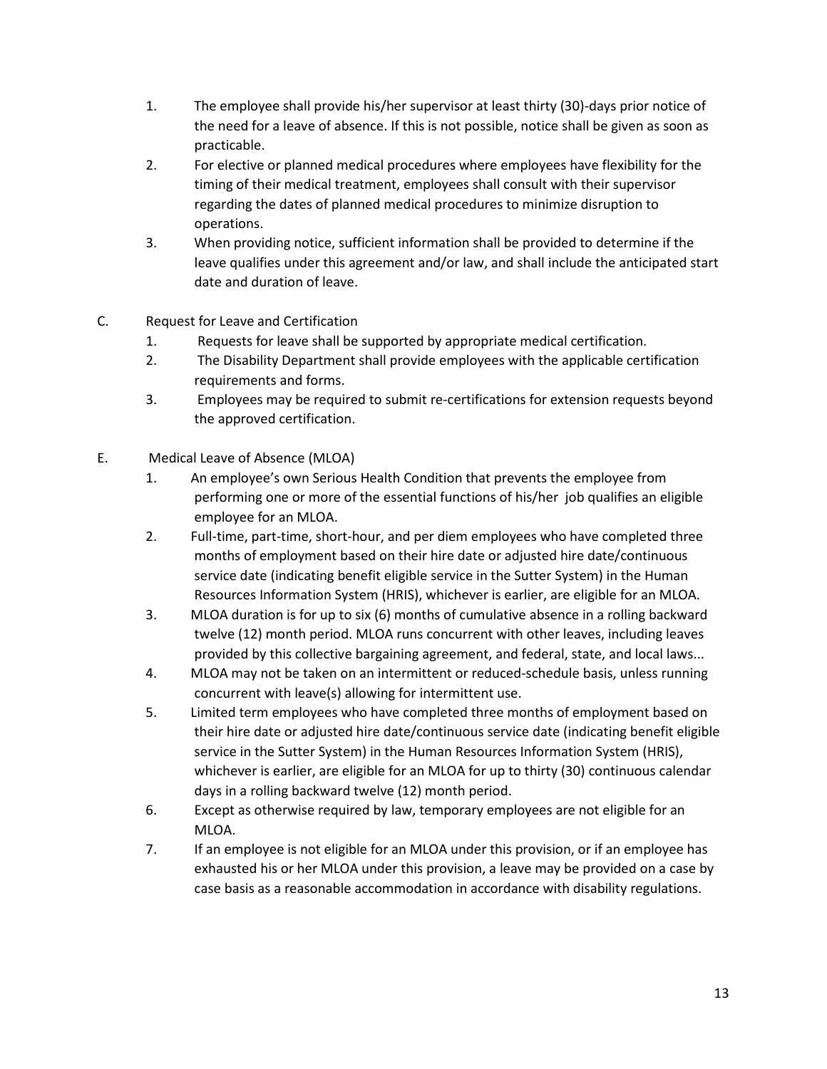- 1. The employee shall provide his/her supervisor at least thirty (30)-days prior notice of the need for a leave of absence. If this is not possible, notice shall be given as soon as practicable.
- 2. For elective or planned medical procedures where employees have flexibility for the timing of their medical treatment, employees shall consult with their supervisor regarding the dates of planned medical procedures to minimize disruption to operations.
- 3. When providing notice, sufficient information shall be provided to determine if the leave qualifies under this agreement and/or law, and shall include the anticipated start date and duration of leave.
- C. Request for Leave and Certification
	- 1. Requests for leave shall be supported by appropriate medical certification.
	- 2. The Disability Department shall provide employees with the applicable certification requirements and forms.
	- 3. Employees may be required to submit re-certifications for extension requests beyond the approved certification.
- E. Medical Leave of Absence (MLOA)
	- 1. An employee's own Serious Health Condition that prevents the employee from performing one or more of the essential functions of his/her job qualifies an eligible employee for an MLOA.
	- 2. Full-time, part-time, short-hour, and per diem employees who have completed three months of employment based on their hire date or adjusted hire date/continuous service date (indicating benefit eligible service in the Sutter System) in the Human Resources Information System (HRIS), whichever is earlier, are eligible for an MLOA.
	- 3. MLOA duration is for up to six (6) months of cumulative absence in a rolling backward twelve (12) month period. MLOA runs concurrent with other leaves, including leaves provided by this collective bargaining agreement, and federal, state, and local laws...
	- 4. MLOA may not be taken on an intermittent or reduced-schedule basis, unless running concurrent with leave(s) allowing for intermittent use.
	- 5. Limited term employees who have completed three months of employment based on their hire date or adjusted hire date/continuous service date (indicating benefit eligible service in the Sutter System) in the Human Resources Information System (HRIS), whichever is earlier, are eligible for an MLOA for up to thirty (30) continuous calendar days in a rolling backward twelve (12) month period.
	- 6. Except as otherwise required by law, temporary employees are not eligible for an MLOA.
	- 7. If an employee is not eligible for an MLOA under this provision, or if an employee has exhausted his or her MLOA under this provision, a leave may be provided on a case by case basis as a reasonable accommodation in accordance with disability regulations.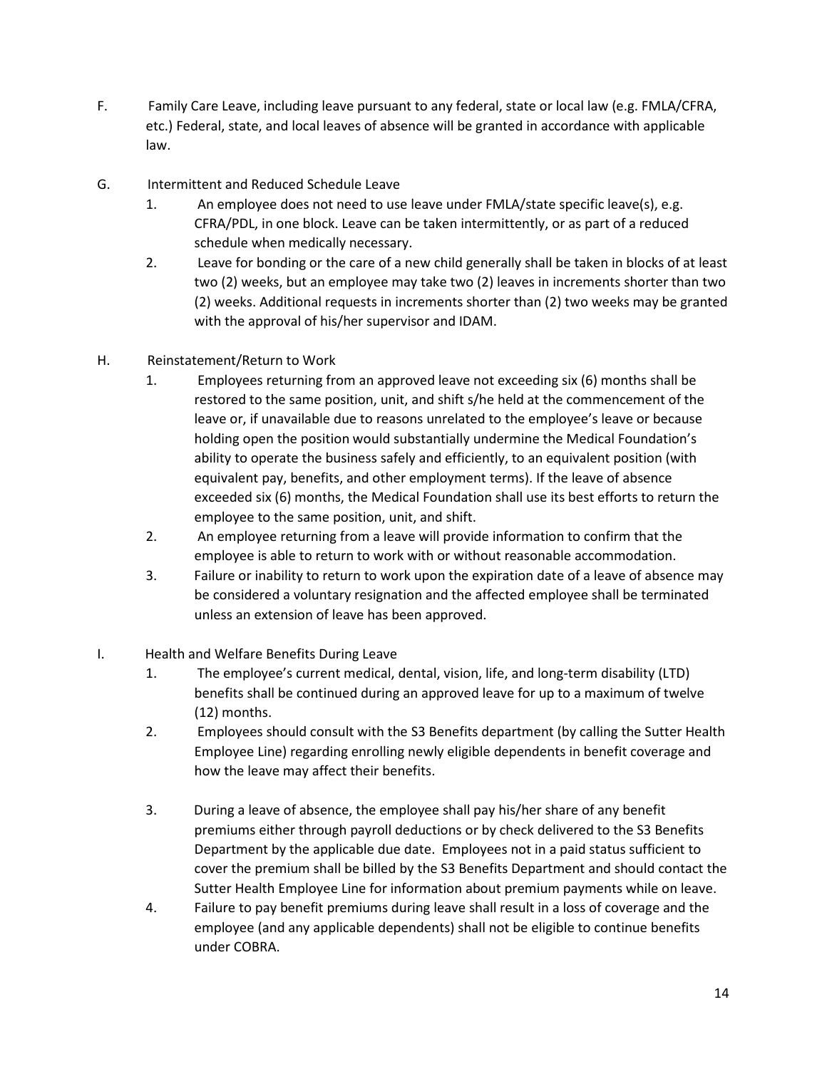- F. Family Care Leave, including leave pursuant to any federal, state or local law (e.g. FMLA/CFRA, etc.) Federal, state, and local leaves of absence will be granted in accordance with applicable law.
- G. Intermittent and Reduced Schedule Leave
	- 1. An employee does not need to use leave under FMLA/state specific leave(s), e.g. CFRA/PDL, in one block. Leave can be taken intermittently, or as part of a reduced schedule when medically necessary.
	- 2. Leave for bonding or the care of a new child generally shall be taken in blocks of at least two (2) weeks, but an employee may take two (2) leaves in increments shorter than two (2) weeks. Additional requests in increments shorter than (2) two weeks may be granted with the approval of his/her supervisor and IDAM.
- H. Reinstatement/Return to Work
	- 1. Employees returning from an approved leave not exceeding six (6) months shall be restored to the same position, unit, and shift s/he held at the commencement of the leave or, if unavailable due to reasons unrelated to the employee's leave or because holding open the position would substantially undermine the Medical Foundation's ability to operate the business safely and efficiently, to an equivalent position (with equivalent pay, benefits, and other employment terms). If the leave of absence exceeded six (6) months, the Medical Foundation shall use its best efforts to return the employee to the same position, unit, and shift.
	- 2. An employee returning from a leave will provide information to confirm that the employee is able to return to work with or without reasonable accommodation.
	- 3. Failure or inability to return to work upon the expiration date of a leave of absence may be considered a voluntary resignation and the affected employee shall be terminated unless an extension of leave has been approved.
- I. Health and Welfare Benefits During Leave
	- 1. The employee's current medical, dental, vision, life, and long-term disability (LTD) benefits shall be continued during an approved leave for up to a maximum of twelve (12) months.
	- 2. Employees should consult with the S3 Benefits department (by calling the Sutter Health Employee Line) regarding enrolling newly eligible dependents in benefit coverage and how the leave may affect their benefits.
	- 3. During a leave of absence, the employee shall pay his/her share of any benefit premiums either through payroll deductions or by check delivered to the S3 Benefits Department by the applicable due date. Employees not in a paid status sufficient to cover the premium shall be billed by the S3 Benefits Department and should contact the Sutter Health Employee Line for information about premium payments while on leave.
	- 4. Failure to pay benefit premiums during leave shall result in a loss of coverage and the employee (and any applicable dependents) shall not be eligible to continue benefits under COBRA.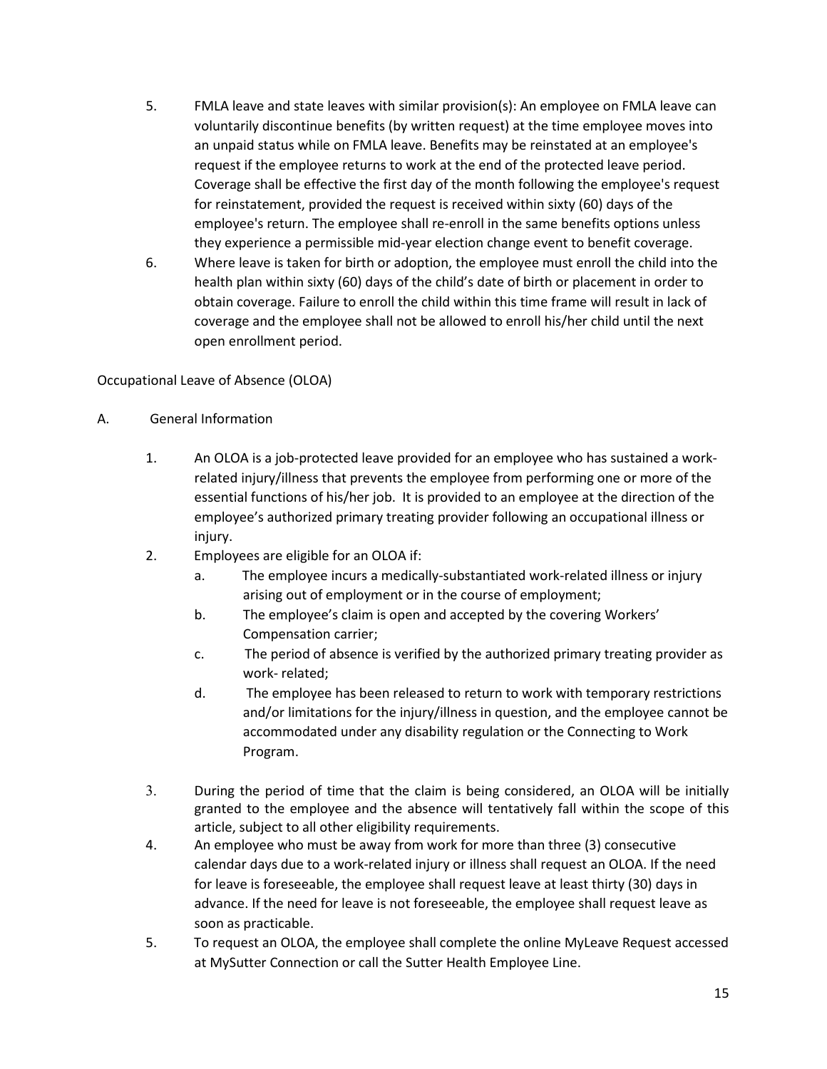- 5. FMLA leave and state leaves with similar provision(s): An employee on FMLA leave can voluntarily discontinue benefits (by written request) at the time employee moves into an unpaid status while on FMLA leave. Benefits may be reinstated at an employee's request if the employee returns to work at the end of the protected leave period. Coverage shall be effective the first day of the month following the employee's request for reinstatement, provided the request is received within sixty (60) days of the employee's return. The employee shall re-enroll in the same benefits options unless they experience a permissible mid-year election change event to benefit coverage.
- 6. Where leave is taken for birth or adoption, the employee must enroll the child into the health plan within sixty (60) days of the child's date of birth or placement in order to obtain coverage. Failure to enroll the child within this time frame will result in lack of coverage and the employee shall not be allowed to enroll his/her child until the next open enrollment period.

# Occupational Leave of Absence (OLOA)

### A. General Information

- 1. An OLOA is a job-protected leave provided for an employee who has sustained a workrelated injury/illness that prevents the employee from performing one or more of the essential functions of his/her job. It is provided to an employee at the direction of the employee's authorized primary treating provider following an occupational illness or injury.
- 2. Employees are eligible for an OLOA if:
	- a. The employee incurs a medically-substantiated work-related illness or injury arising out of employment or in the course of employment;
	- b. The employee's claim is open and accepted by the covering Workers' Compensation carrier;
	- c. The period of absence is verified by the authorized primary treating provider as work- related;
	- d. The employee has been released to return to work with temporary restrictions and/or limitations for the injury/illness in question, and the employee cannot be accommodated under any disability regulation or the Connecting to Work Program.
- 3. During the period of time that the claim is being considered, an OLOA will be initially granted to the employee and the absence will tentatively fall within the scope of this article, subject to all other eligibility requirements.
- 4. An employee who must be away from work for more than three (3) consecutive calendar days due to a work-related injury or illness shall request an OLOA. If the need for leave is foreseeable, the employee shall request leave at least thirty (30) days in advance. If the need for leave is not foreseeable, the employee shall request leave as soon as practicable.
- 5. To request an OLOA, the employee shall complete the online MyLeave Request accessed at MySutter Connection or call the Sutter Health Employee Line.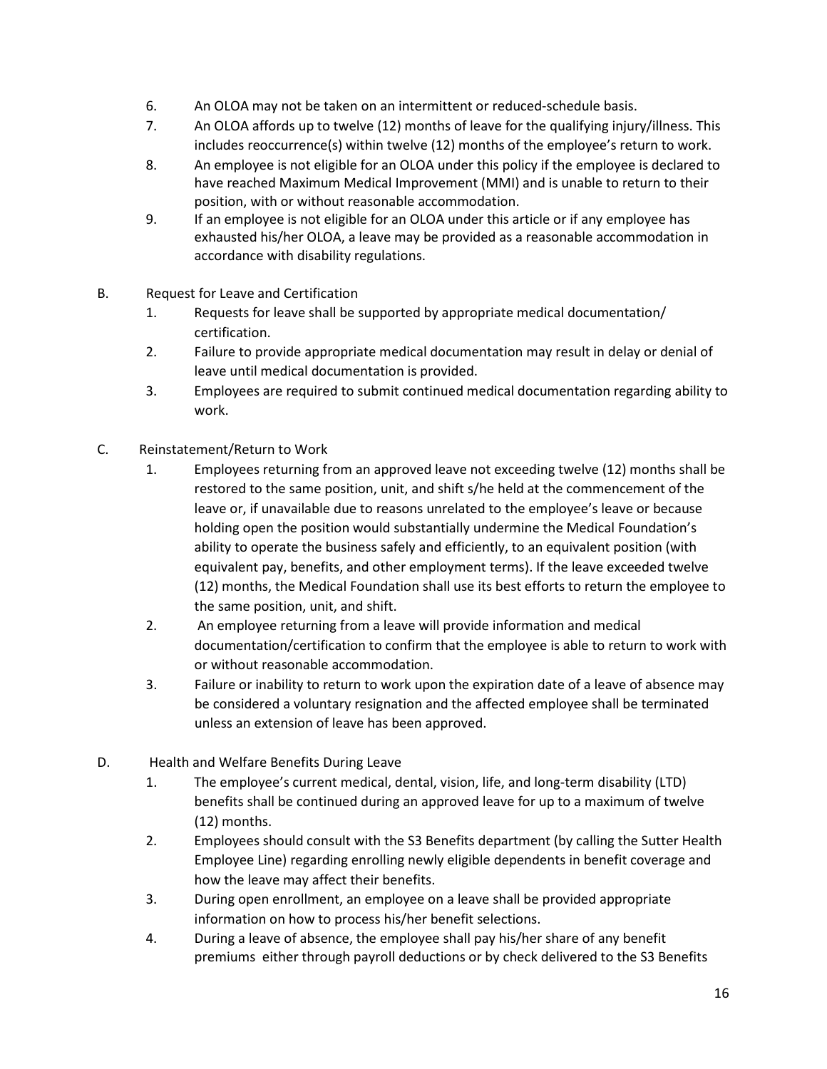- 6. An OLOA may not be taken on an intermittent or reduced-schedule basis.
- 7. An OLOA affords up to twelve (12) months of leave for the qualifying injury/illness. This includes reoccurrence(s) within twelve (12) months of the employee's return to work.
- 8. An employee is not eligible for an OLOA under this policy if the employee is declared to have reached Maximum Medical Improvement (MMI) and is unable to return to their position, with or without reasonable accommodation.
- 9. If an employee is not eligible for an OLOA under this article or if any employee has exhausted his/her OLOA, a leave may be provided as a reasonable accommodation in accordance with disability regulations.
- B. Request for Leave and Certification
	- 1. Requests for leave shall be supported by appropriate medical documentation/ certification.
	- 2. Failure to provide appropriate medical documentation may result in delay or denial of leave until medical documentation is provided.
	- 3. Employees are required to submit continued medical documentation regarding ability to work.
- C. Reinstatement/Return to Work
	- 1. Employees returning from an approved leave not exceeding twelve (12) months shall be restored to the same position, unit, and shift s/he held at the commencement of the leave or, if unavailable due to reasons unrelated to the employee's leave or because holding open the position would substantially undermine the Medical Foundation's ability to operate the business safely and efficiently, to an equivalent position (with equivalent pay, benefits, and other employment terms). If the leave exceeded twelve (12) months, the Medical Foundation shall use its best efforts to return the employee to the same position, unit, and shift.
	- 2. An employee returning from a leave will provide information and medical documentation/certification to confirm that the employee is able to return to work with or without reasonable accommodation.
	- 3. Failure or inability to return to work upon the expiration date of a leave of absence may be considered a voluntary resignation and the affected employee shall be terminated unless an extension of leave has been approved.
- D. Health and Welfare Benefits During Leave
	- 1. The employee's current medical, dental, vision, life, and long-term disability (LTD) benefits shall be continued during an approved leave for up to a maximum of twelve (12) months.
	- 2. Employees should consult with the S3 Benefits department (by calling the Sutter Health Employee Line) regarding enrolling newly eligible dependents in benefit coverage and how the leave may affect their benefits.
	- 3. During open enrollment, an employee on a leave shall be provided appropriate information on how to process his/her benefit selections.
	- 4. During a leave of absence, the employee shall pay his/her share of any benefit premiums either through payroll deductions or by check delivered to the S3 Benefits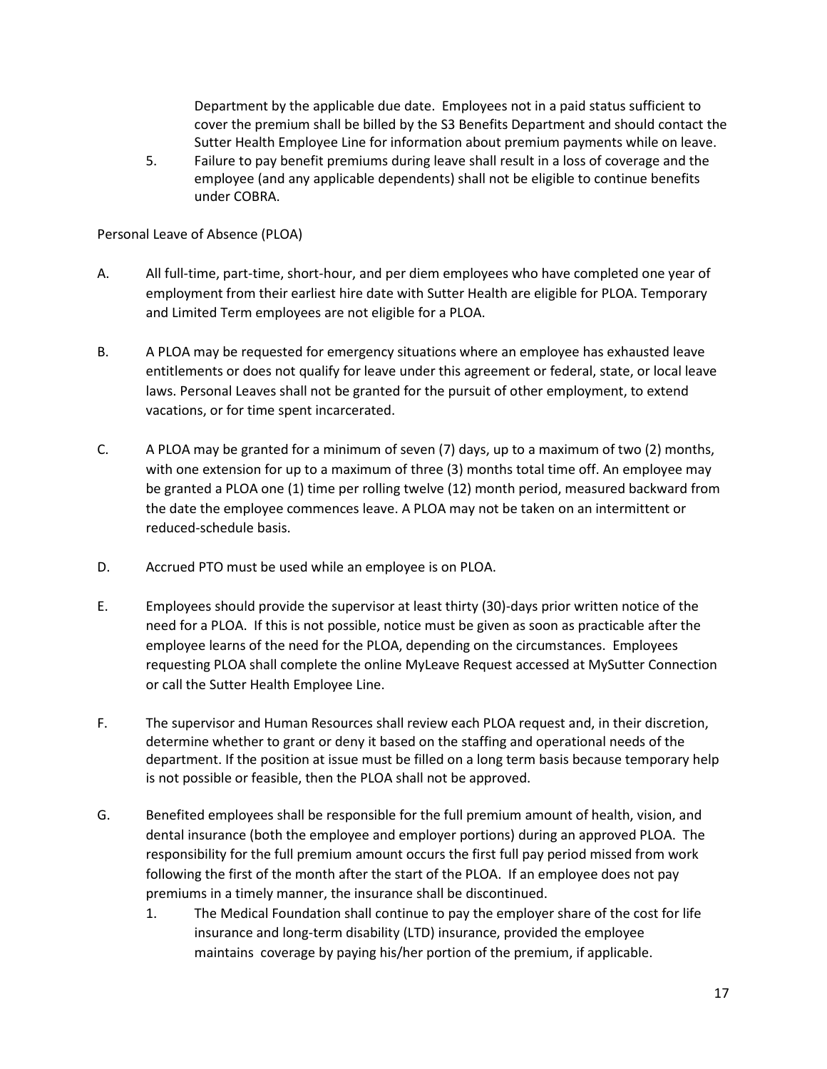Department by the applicable due date. Employees not in a paid status sufficient to cover the premium shall be billed by the S3 Benefits Department and should contact the Sutter Health Employee Line for information about premium payments while on leave.

5. Failure to pay benefit premiums during leave shall result in a loss of coverage and the employee (and any applicable dependents) shall not be eligible to continue benefits under COBRA.

Personal Leave of Absence (PLOA)

- A. All full-time, part-time, short-hour, and per diem employees who have completed one year of employment from their earliest hire date with Sutter Health are eligible for PLOA. Temporary and Limited Term employees are not eligible for a PLOA.
- B. A PLOA may be requested for emergency situations where an employee has exhausted leave entitlements or does not qualify for leave under this agreement or federal, state, or local leave laws. Personal Leaves shall not be granted for the pursuit of other employment, to extend vacations, or for time spent incarcerated.
- C. A PLOA may be granted for a minimum of seven (7) days, up to a maximum of two (2) months, with one extension for up to a maximum of three (3) months total time off. An employee may be granted a PLOA one (1) time per rolling twelve (12) month period, measured backward from the date the employee commences leave. A PLOA may not be taken on an intermittent or reduced-schedule basis.
- D. Accrued PTO must be used while an employee is on PLOA.
- E. Employees should provide the supervisor at least thirty (30)-days prior written notice of the need for a PLOA. If this is not possible, notice must be given as soon as practicable after the employee learns of the need for the PLOA, depending on the circumstances. Employees requesting PLOA shall complete the online MyLeave Request accessed at MySutter Connection or call the Sutter Health Employee Line.
- F. The supervisor and Human Resources shall review each PLOA request and, in their discretion, determine whether to grant or deny it based on the staffing and operational needs of the department. If the position at issue must be filled on a long term basis because temporary help is not possible or feasible, then the PLOA shall not be approved.
- G. Benefited employees shall be responsible for the full premium amount of health, vision, and dental insurance (both the employee and employer portions) during an approved PLOA. The responsibility for the full premium amount occurs the first full pay period missed from work following the first of the month after the start of the PLOA. If an employee does not pay premiums in a timely manner, the insurance shall be discontinued.
	- 1. The Medical Foundation shall continue to pay the employer share of the cost for life insurance and long-term disability (LTD) insurance, provided the employee maintains coverage by paying his/her portion of the premium, if applicable.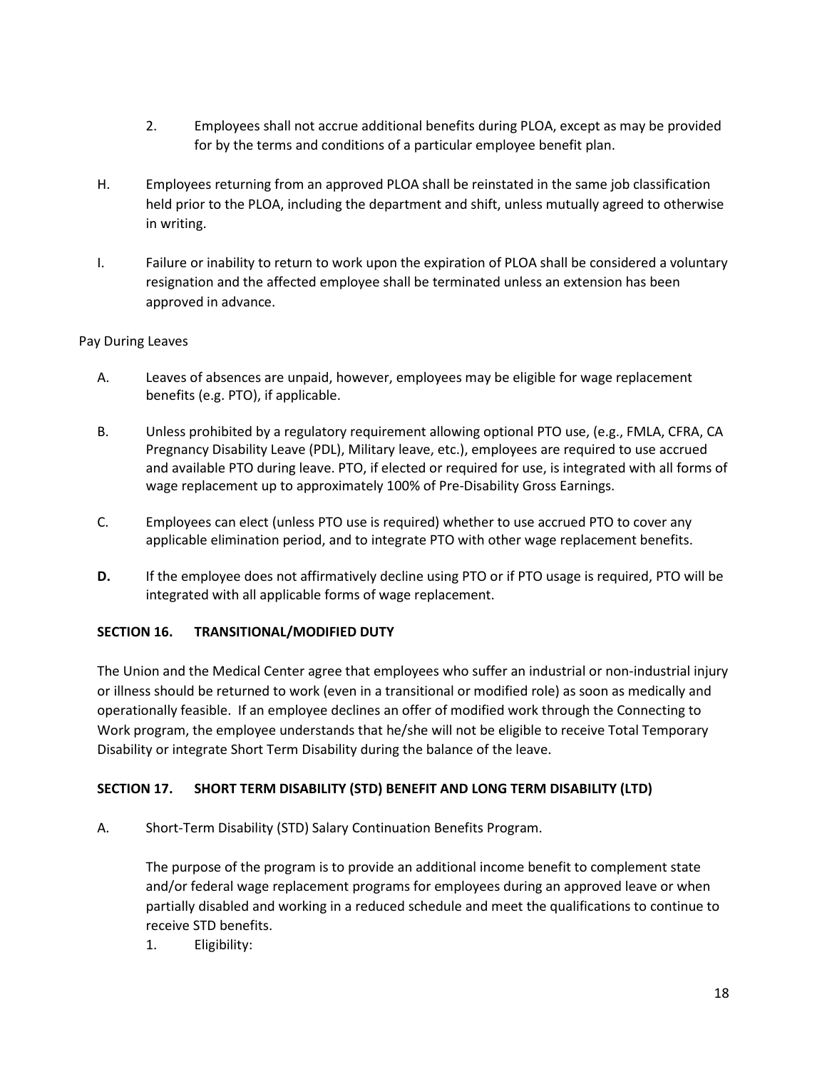- 2. Employees shall not accrue additional benefits during PLOA, except as may be provided for by the terms and conditions of a particular employee benefit plan.
- H. Employees returning from an approved PLOA shall be reinstated in the same job classification held prior to the PLOA, including the department and shift, unless mutually agreed to otherwise in writing.
- I. Failure or inability to return to work upon the expiration of PLOA shall be considered a voluntary resignation and the affected employee shall be terminated unless an extension has been approved in advance.

# Pay During Leaves

- A. Leaves of absences are unpaid, however, employees may be eligible for wage replacement benefits (e.g. PTO), if applicable.
- B. Unless prohibited by a regulatory requirement allowing optional PTO use, (e.g., FMLA, CFRA, CA Pregnancy Disability Leave (PDL), Military leave, etc.), employees are required to use accrued and available PTO during leave. PTO, if elected or required for use, is integrated with all forms of wage replacement up to approximately 100% of Pre-Disability Gross Earnings.
- C. Employees can elect (unless PTO use is required) whether to use accrued PTO to cover any applicable elimination period, and to integrate PTO with other wage replacement benefits.
- **D.** If the employee does not affirmatively decline using PTO or if PTO usage is required, PTO will be integrated with all applicable forms of wage replacement.

# **SECTION 16. TRANSITIONAL/MODIFIED DUTY**

The Union and the Medical Center agree that employees who suffer an industrial or non-industrial injury or illness should be returned to work (even in a transitional or modified role) as soon as medically and operationally feasible. If an employee declines an offer of modified work through the Connecting to Work program, the employee understands that he/she will not be eligible to receive Total Temporary Disability or integrate Short Term Disability during the balance of the leave.

# **SECTION 17. SHORT TERM DISABILITY (STD) BENEFIT AND LONG TERM DISABILITY (LTD)**

A. Short-Term Disability (STD) Salary Continuation Benefits Program.

The purpose of the program is to provide an additional income benefit to complement state and/or federal wage replacement programs for employees during an approved leave or when partially disabled and working in a reduced schedule and meet the qualifications to continue to receive STD benefits.

1. Eligibility: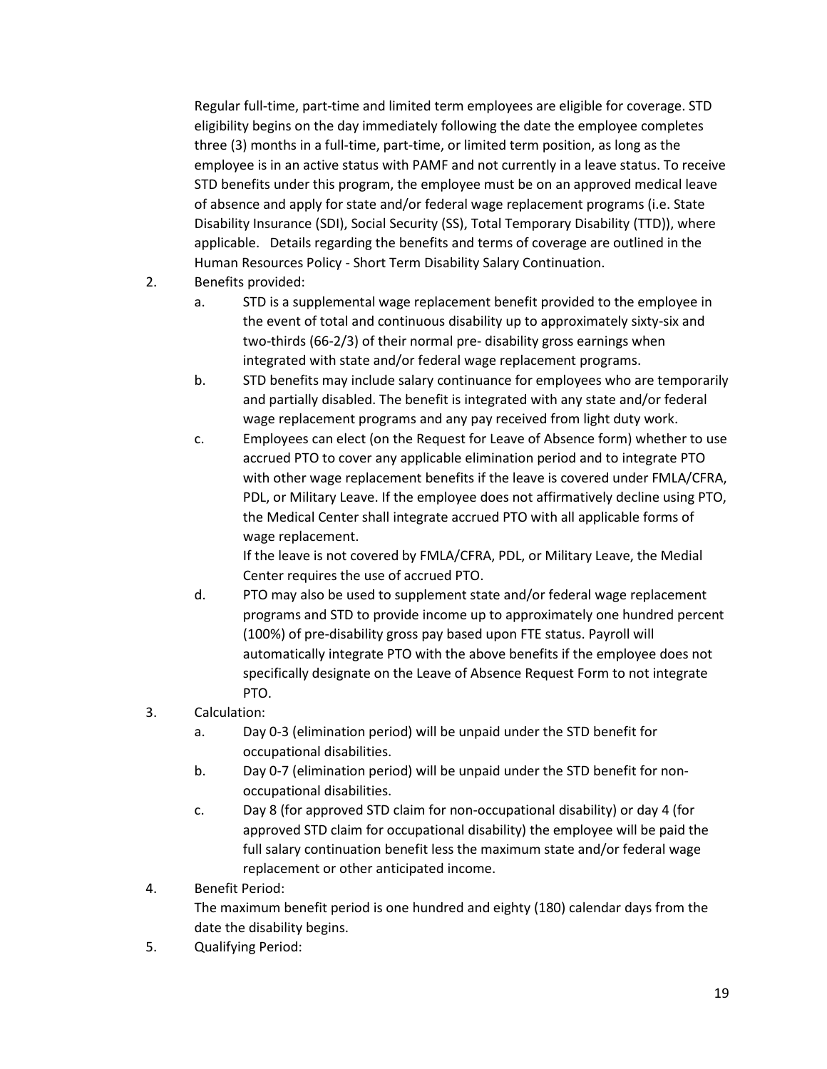Regular full-time, part-time and limited term employees are eligible for coverage. STD eligibility begins on the day immediately following the date the employee completes three (3) months in a full-time, part-time, or limited term position, as long as the employee is in an active status with PAMF and not currently in a leave status. To receive STD benefits under this program, the employee must be on an approved medical leave of absence and apply for state and/or federal wage replacement programs (i.e. State Disability Insurance (SDI), Social Security (SS), Total Temporary Disability (TTD)), where applicable. Details regarding the benefits and terms of coverage are outlined in the Human Resources Policy - Short Term Disability Salary Continuation.

- 2. Benefits provided:
	- a. STD is a supplemental wage replacement benefit provided to the employee in the event of total and continuous disability up to approximately sixty-six and two-thirds (66-2/3) of their normal pre- disability gross earnings when integrated with state and/or federal wage replacement programs.
	- b. STD benefits may include salary continuance for employees who are temporarily and partially disabled. The benefit is integrated with any state and/or federal wage replacement programs and any pay received from light duty work.
	- c. Employees can elect (on the Request for Leave of Absence form) whether to use accrued PTO to cover any applicable elimination period and to integrate PTO with other wage replacement benefits if the leave is covered under FMLA/CFRA, PDL, or Military Leave. If the employee does not affirmatively decline using PTO, the Medical Center shall integrate accrued PTO with all applicable forms of wage replacement.

If the leave is not covered by FMLA/CFRA, PDL, or Military Leave, the Medial Center requires the use of accrued PTO.

- d. PTO may also be used to supplement state and/or federal wage replacement programs and STD to provide income up to approximately one hundred percent (100%) of pre-disability gross pay based upon FTE status. Payroll will automatically integrate PTO with the above benefits if the employee does not specifically designate on the Leave of Absence Request Form to not integrate PTO.
- 3. Calculation:
	- a. Day 0-3 (elimination period) will be unpaid under the STD benefit for occupational disabilities.
	- b. Day 0-7 (elimination period) will be unpaid under the STD benefit for nonoccupational disabilities.
	- c. Day 8 (for approved STD claim for non-occupational disability) or day 4 (for approved STD claim for occupational disability) the employee will be paid the full salary continuation benefit less the maximum state and/or federal wage replacement or other anticipated income.
- 4. Benefit Period: The maximum benefit period is one hundred and eighty (180) calendar days from the date the disability begins.
- 5. Qualifying Period: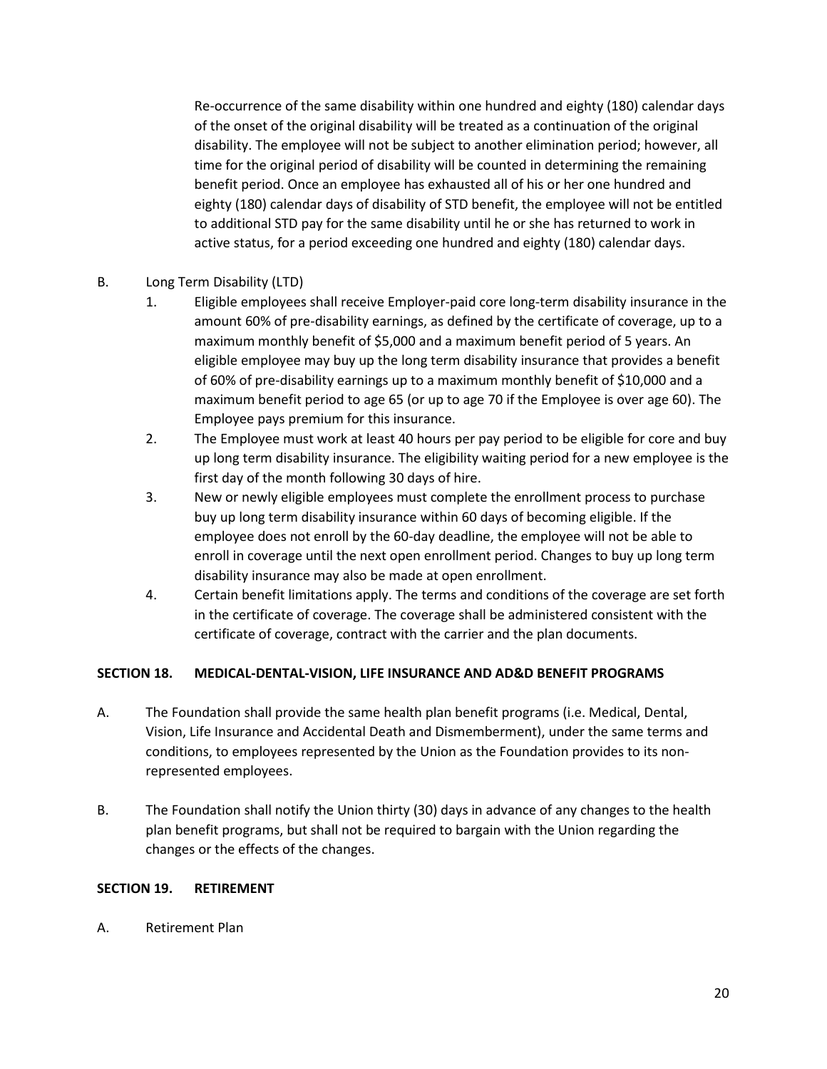Re-occurrence of the same disability within one hundred and eighty (180) calendar days of the onset of the original disability will be treated as a continuation of the original disability. The employee will not be subject to another elimination period; however, all time for the original period of disability will be counted in determining the remaining benefit period. Once an employee has exhausted all of his or her one hundred and eighty (180) calendar days of disability of STD benefit, the employee will not be entitled to additional STD pay for the same disability until he or she has returned to work in active status, for a period exceeding one hundred and eighty (180) calendar days.

# B. Long Term Disability (LTD)

- 1. Eligible employees shall receive Employer-paid core long-term disability insurance in the amount 60% of pre-disability earnings, as defined by the certificate of coverage, up to a maximum monthly benefit of \$5,000 and a maximum benefit period of 5 years. An eligible employee may buy up the long term disability insurance that provides a benefit of 60% of pre-disability earnings up to a maximum monthly benefit of \$10,000 and a maximum benefit period to age 65 (or up to age 70 if the Employee is over age 60). The Employee pays premium for this insurance.
- 2. The Employee must work at least 40 hours per pay period to be eligible for core and buy up long term disability insurance. The eligibility waiting period for a new employee is the first day of the month following 30 days of hire.
- 3. New or newly eligible employees must complete the enrollment process to purchase buy up long term disability insurance within 60 days of becoming eligible. If the employee does not enroll by the 60-day deadline, the employee will not be able to enroll in coverage until the next open enrollment period. Changes to buy up long term disability insurance may also be made at open enrollment.
- 4. Certain benefit limitations apply. The terms and conditions of the coverage are set forth in the certificate of coverage. The coverage shall be administered consistent with the certificate of coverage, contract with the carrier and the plan documents.

# **SECTION 18. MEDICAL-DENTAL-VISION, LIFE INSURANCE AND AD&D BENEFIT PROGRAMS**

- A. The Foundation shall provide the same health plan benefit programs (i.e. Medical, Dental, Vision, Life Insurance and Accidental Death and Dismemberment), under the same terms and conditions, to employees represented by the Union as the Foundation provides to its nonrepresented employees.
- B. The Foundation shall notify the Union thirty (30) days in advance of any changes to the health plan benefit programs, but shall not be required to bargain with the Union regarding the changes or the effects of the changes.

#### **SECTION 19. RETIREMENT**

A. Retirement Plan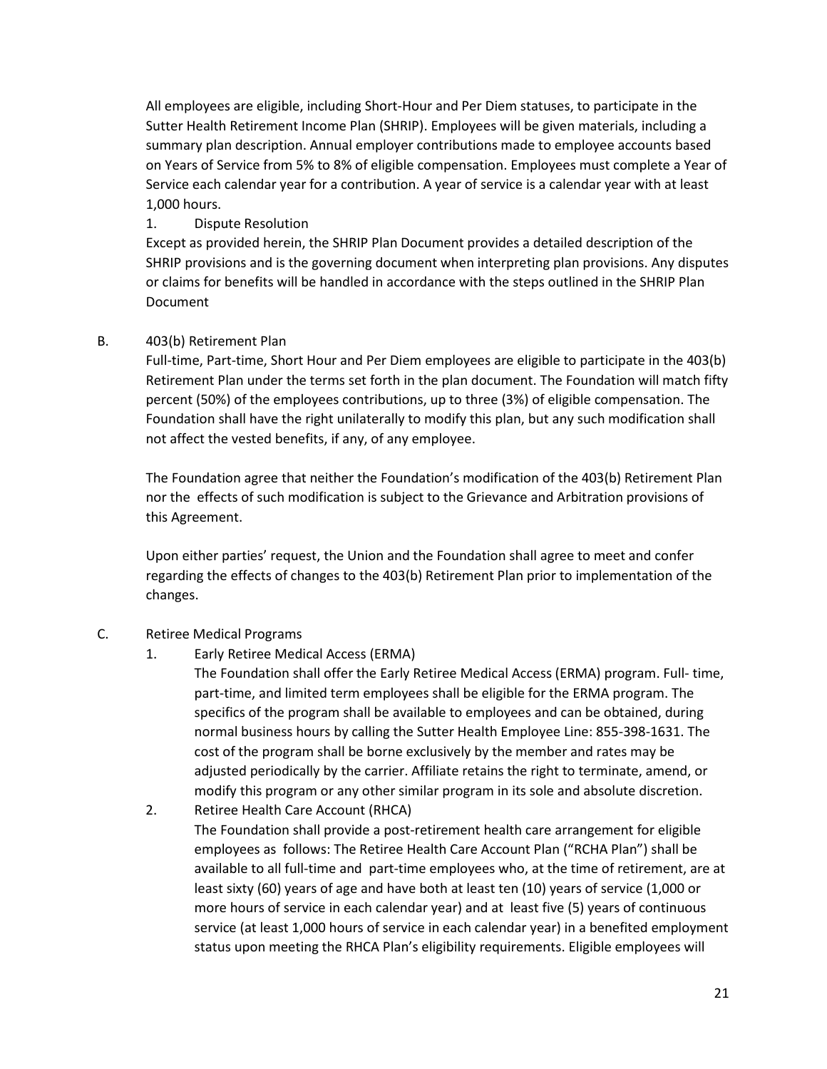All employees are eligible, including Short-Hour and Per Diem statuses, to participate in the Sutter Health Retirement Income Plan (SHRIP). Employees will be given materials, including a summary plan description. Annual employer contributions made to employee accounts based on Years of Service from 5% to 8% of eligible compensation. Employees must complete a Year of Service each calendar year for a contribution. A year of service is a calendar year with at least 1,000 hours.

# 1. Dispute Resolution

Except as provided herein, the SHRIP Plan Document provides a detailed description of the SHRIP provisions and is the governing document when interpreting plan provisions. Any disputes or claims for benefits will be handled in accordance with the steps outlined in the SHRIP Plan Document

# B. 403(b) Retirement Plan

Full-time, Part-time, Short Hour and Per Diem employees are eligible to participate in the 403(b) Retirement Plan under the terms set forth in the plan document. The Foundation will match fifty percent (50%) of the employees contributions, up to three (3%) of eligible compensation. The Foundation shall have the right unilaterally to modify this plan, but any such modification shall not affect the vested benefits, if any, of any employee.

The Foundation agree that neither the Foundation's modification of the 403(b) Retirement Plan nor the effects of such modification is subject to the Grievance and Arbitration provisions of this Agreement.

Upon either parties' request, the Union and the Foundation shall agree to meet and confer regarding the effects of changes to the 403(b) Retirement Plan prior to implementation of the changes.

# C. Retiree Medical Programs

1. Early Retiree Medical Access (ERMA)

The Foundation shall offer the Early Retiree Medical Access (ERMA) program. Full- time, part-time, and limited term employees shall be eligible for the ERMA program. The specifics of the program shall be available to employees and can be obtained, during normal business hours by calling the Sutter Health Employee Line: 855-398-1631. The cost of the program shall be borne exclusively by the member and rates may be adjusted periodically by the carrier. Affiliate retains the right to terminate, amend, or modify this program or any other similar program in its sole and absolute discretion.

2. Retiree Health Care Account (RHCA) The Foundation shall provide a post-retirement health care arrangement for eligible employees as follows: The Retiree Health Care Account Plan ("RCHA Plan") shall be available to all full-time and part-time employees who, at the time of retirement, are at least sixty (60) years of age and have both at least ten (10) years of service (1,000 or more hours of service in each calendar year) and at least five (5) years of continuous service (at least 1,000 hours of service in each calendar year) in a benefited employment status upon meeting the RHCA Plan's eligibility requirements. Eligible employees will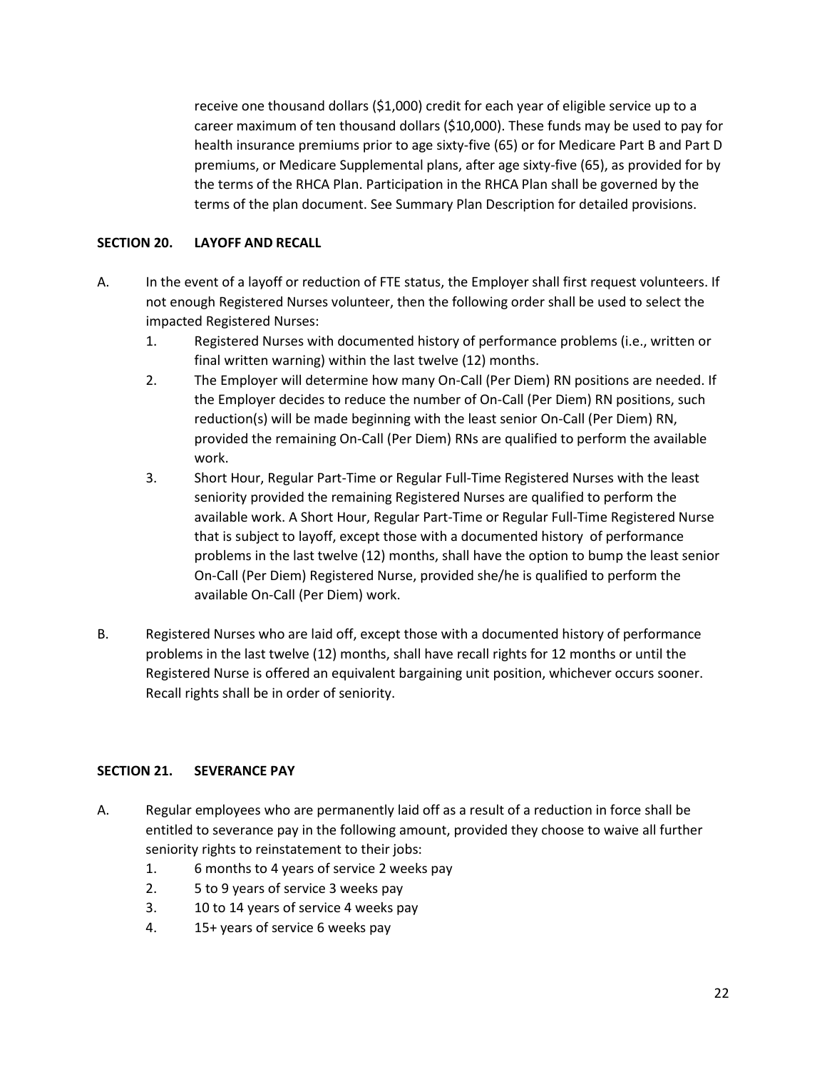receive one thousand dollars (\$1,000) credit for each year of eligible service up to a career maximum of ten thousand dollars (\$10,000). These funds may be used to pay for health insurance premiums prior to age sixty-five (65) or for Medicare Part B and Part D premiums, or Medicare Supplemental plans, after age sixty-five (65), as provided for by the terms of the RHCA Plan. Participation in the RHCA Plan shall be governed by the terms of the plan document. See Summary Plan Description for detailed provisions.

### **SECTION 20. LAYOFF AND RECALL**

- A. In the event of a layoff or reduction of FTE status, the Employer shall first request volunteers. If not enough Registered Nurses volunteer, then the following order shall be used to select the impacted Registered Nurses:
	- 1. Registered Nurses with documented history of performance problems (i.e., written or final written warning) within the last twelve (12) months.
	- 2. The Employer will determine how many On-Call (Per Diem) RN positions are needed. If the Employer decides to reduce the number of On-Call (Per Diem) RN positions, such reduction(s) will be made beginning with the least senior On-Call (Per Diem) RN, provided the remaining On-Call (Per Diem) RNs are qualified to perform the available work.
	- 3. Short Hour, Regular Part-Time or Regular Full-Time Registered Nurses with the least seniority provided the remaining Registered Nurses are qualified to perform the available work. A Short Hour, Regular Part-Time or Regular Full-Time Registered Nurse that is subject to layoff, except those with a documented history of performance problems in the last twelve (12) months, shall have the option to bump the least senior On-Call (Per Diem) Registered Nurse, provided she/he is qualified to perform the available On-Call (Per Diem) work.
- B. Registered Nurses who are laid off, except those with a documented history of performance problems in the last twelve (12) months, shall have recall rights for 12 months or until the Registered Nurse is offered an equivalent bargaining unit position, whichever occurs sooner. Recall rights shall be in order of seniority.

#### **SECTION 21. SEVERANCE PAY**

- A. Regular employees who are permanently laid off as a result of a reduction in force shall be entitled to severance pay in the following amount, provided they choose to waive all further seniority rights to reinstatement to their jobs:
	- 1. 6 months to 4 years of service 2 weeks pay
	- 2. 5 to 9 years of service 3 weeks pay
	- 3. 10 to 14 years of service 4 weeks pay
	- 4. 15+ years of service 6 weeks pay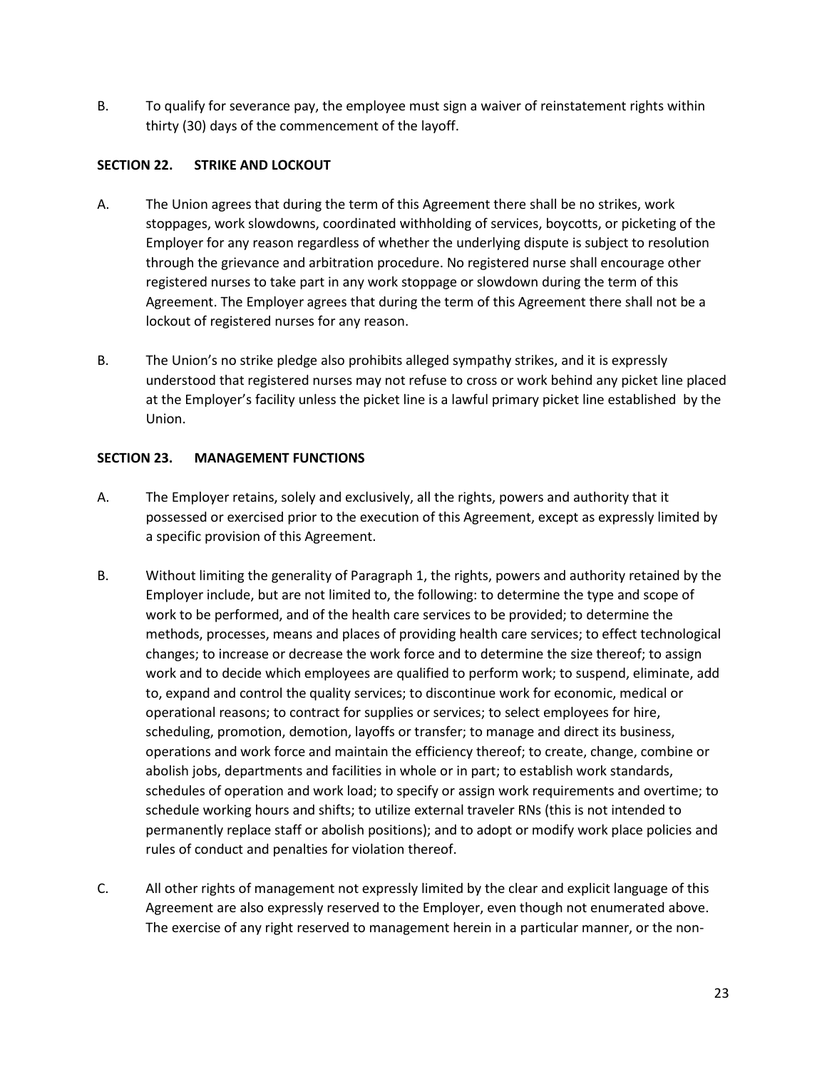B. To qualify for severance pay, the employee must sign a waiver of reinstatement rights within thirty (30) days of the commencement of the layoff.

### **SECTION 22. STRIKE AND LOCKOUT**

- A. The Union agrees that during the term of this Agreement there shall be no strikes, work stoppages, work slowdowns, coordinated withholding of services, boycotts, or picketing of the Employer for any reason regardless of whether the underlying dispute is subject to resolution through the grievance and arbitration procedure. No registered nurse shall encourage other registered nurses to take part in any work stoppage or slowdown during the term of this Agreement. The Employer agrees that during the term of this Agreement there shall not be a lockout of registered nurses for any reason.
- B. The Union's no strike pledge also prohibits alleged sympathy strikes, and it is expressly understood that registered nurses may not refuse to cross or work behind any picket line placed at the Employer's facility unless the picket line is a lawful primary picket line established by the Union.

### **SECTION 23. MANAGEMENT FUNCTIONS**

- A. The Employer retains, solely and exclusively, all the rights, powers and authority that it possessed or exercised prior to the execution of this Agreement, except as expressly limited by a specific provision of this Agreement.
- B. Without limiting the generality of Paragraph 1, the rights, powers and authority retained by the Employer include, but are not limited to, the following: to determine the type and scope of work to be performed, and of the health care services to be provided; to determine the methods, processes, means and places of providing health care services; to effect technological changes; to increase or decrease the work force and to determine the size thereof; to assign work and to decide which employees are qualified to perform work; to suspend, eliminate, add to, expand and control the quality services; to discontinue work for economic, medical or operational reasons; to contract for supplies or services; to select employees for hire, scheduling, promotion, demotion, layoffs or transfer; to manage and direct its business, operations and work force and maintain the efficiency thereof; to create, change, combine or abolish jobs, departments and facilities in whole or in part; to establish work standards, schedules of operation and work load; to specify or assign work requirements and overtime; to schedule working hours and shifts; to utilize external traveler RNs (this is not intended to permanently replace staff or abolish positions); and to adopt or modify work place policies and rules of conduct and penalties for violation thereof.
- C. All other rights of management not expressly limited by the clear and explicit language of this Agreement are also expressly reserved to the Employer, even though not enumerated above. The exercise of any right reserved to management herein in a particular manner, or the non-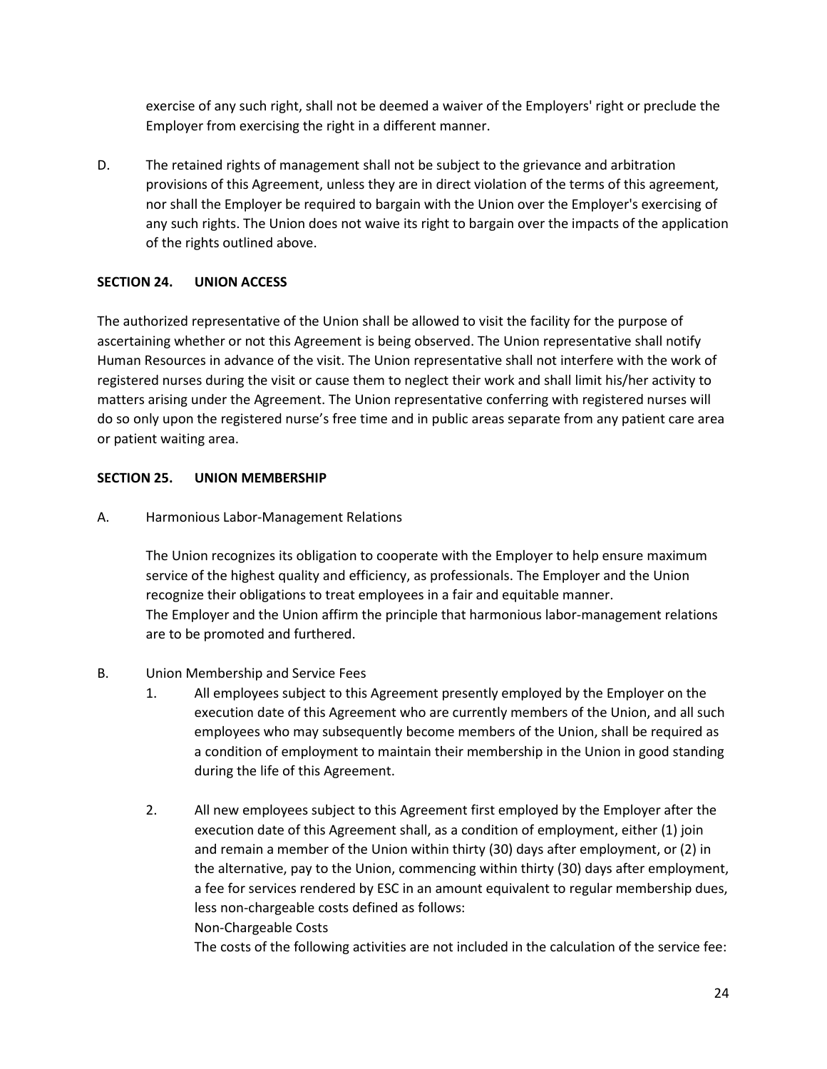exercise of any such right, shall not be deemed a waiver of the Employers' right or preclude the Employer from exercising the right in a different manner.

D. The retained rights of management shall not be subject to the grievance and arbitration provisions of this Agreement, unless they are in direct violation of the terms of this agreement, nor shall the Employer be required to bargain with the Union over the Employer's exercising of any such rights. The Union does not waive its right to bargain over the impacts of the application of the rights outlined above.

# **SECTION 24. UNION ACCESS**

The authorized representative of the Union shall be allowed to visit the facility for the purpose of ascertaining whether or not this Agreement is being observed. The Union representative shall notify Human Resources in advance of the visit. The Union representative shall not interfere with the work of registered nurses during the visit or cause them to neglect their work and shall limit his/her activity to matters arising under the Agreement. The Union representative conferring with registered nurses will do so only upon the registered nurse's free time and in public areas separate from any patient care area or patient waiting area.

#### **SECTION 25. UNION MEMBERSHIP**

A. Harmonious Labor-Management Relations

The Union recognizes its obligation to cooperate with the Employer to help ensure maximum service of the highest quality and efficiency, as professionals. The Employer and the Union recognize their obligations to treat employees in a fair and equitable manner. The Employer and the Union affirm the principle that harmonious labor-management relations are to be promoted and furthered.

- B. Union Membership and Service Fees
	- 1. All employees subject to this Agreement presently employed by the Employer on the execution date of this Agreement who are currently members of the Union, and all such employees who may subsequently become members of the Union, shall be required as a condition of employment to maintain their membership in the Union in good standing during the life of this Agreement.
	- 2. All new employees subject to this Agreement first employed by the Employer after the execution date of this Agreement shall, as a condition of employment, either (1) join and remain a member of the Union within thirty (30) days after employment, or (2) in the alternative, pay to the Union, commencing within thirty (30) days after employment, a fee for services rendered by ESC in an amount equivalent to regular membership dues, less non-chargeable costs defined as follows: Non-Chargeable Costs

The costs of the following activities are not included in the calculation of the service fee: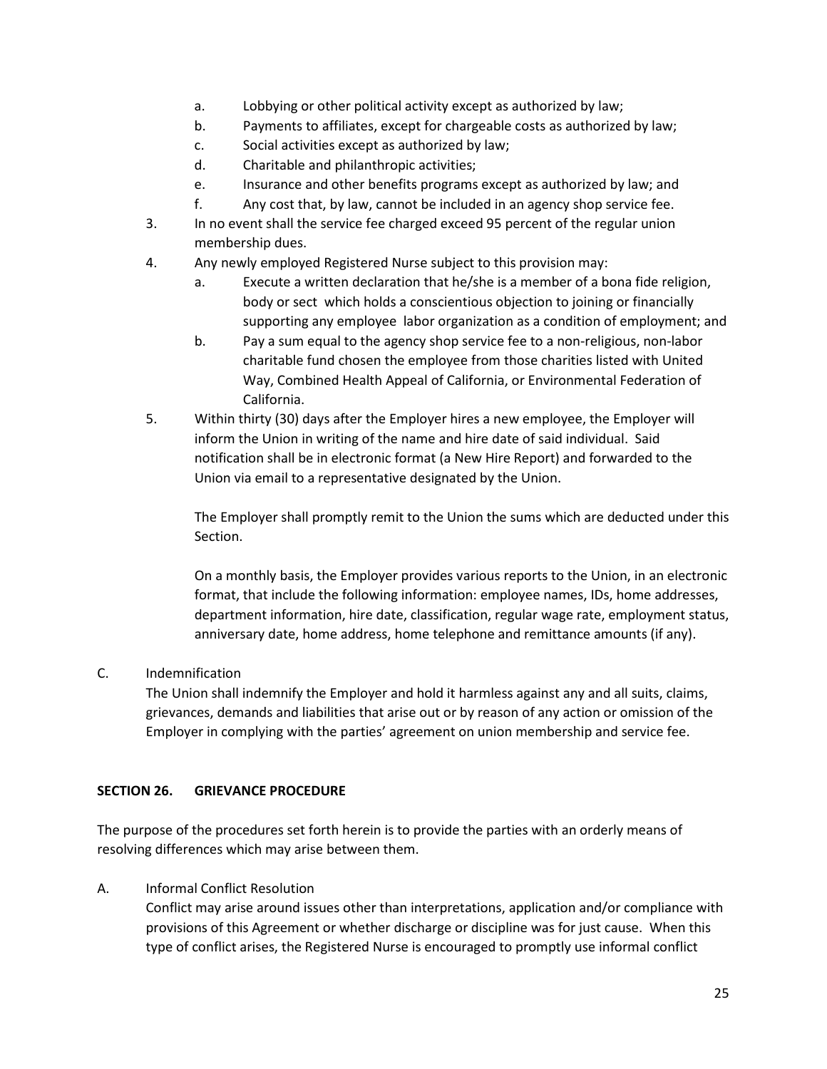- a. Lobbying or other political activity except as authorized by law;
- b. Payments to affiliates, except for chargeable costs as authorized by law;
- c. Social activities except as authorized by law;
- d. Charitable and philanthropic activities;
- e. Insurance and other benefits programs except as authorized by law; and
- f. Any cost that, by law, cannot be included in an agency shop service fee.
- 3. In no event shall the service fee charged exceed 95 percent of the regular union membership dues.
- 4. Any newly employed Registered Nurse subject to this provision may:
	- a. Execute a written declaration that he/she is a member of a bona fide religion, body or sect which holds a conscientious objection to joining or financially supporting any employee labor organization as a condition of employment; and
	- b. Pay a sum equal to the agency shop service fee to a non-religious, non-labor charitable fund chosen the employee from those charities listed with United Way, Combined Health Appeal of California, or Environmental Federation of California.
- 5. Within thirty (30) days after the Employer hires a new employee, the Employer will inform the Union in writing of the name and hire date of said individual. Said notification shall be in electronic format (a New Hire Report) and forwarded to the Union via email to a representative designated by the Union.

The Employer shall promptly remit to the Union the sums which are deducted under this Section.

On a monthly basis, the Employer provides various reports to the Union, in an electronic format, that include the following information: employee names, IDs, home addresses, department information, hire date, classification, regular wage rate, employment status, anniversary date, home address, home telephone and remittance amounts (if any).

C. Indemnification

The Union shall indemnify the Employer and hold it harmless against any and all suits, claims, grievances, demands and liabilities that arise out or by reason of any action or omission of the Employer in complying with the parties' agreement on union membership and service fee.

# **SECTION 26. GRIEVANCE PROCEDURE**

The purpose of the procedures set forth herein is to provide the parties with an orderly means of resolving differences which may arise between them.

A. Informal Conflict Resolution

Conflict may arise around issues other than interpretations, application and/or compliance with provisions of this Agreement or whether discharge or discipline was for just cause. When this type of conflict arises, the Registered Nurse is encouraged to promptly use informal conflict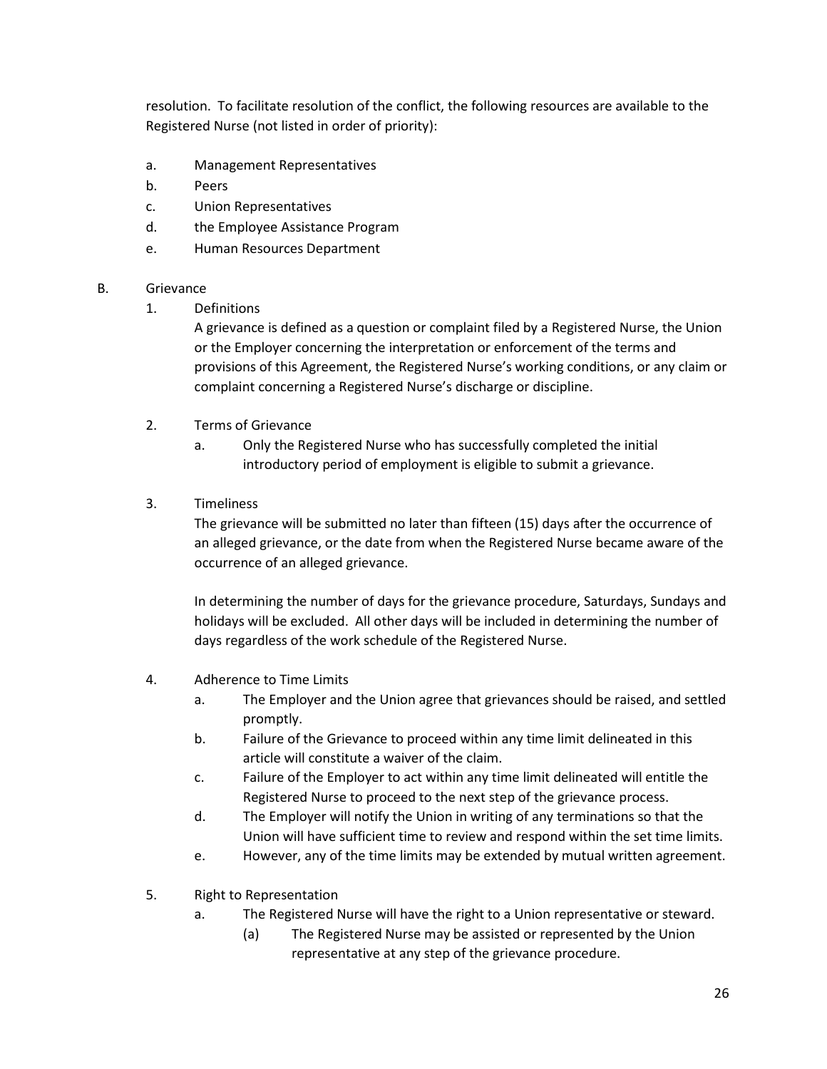resolution. To facilitate resolution of the conflict, the following resources are available to the Registered Nurse (not listed in order of priority):

- a. Management Representatives
- b. Peers
- c. Union Representatives
- d. the Employee Assistance Program
- e. Human Resources Department

#### B. Grievance

1. Definitions

A grievance is defined as a question or complaint filed by a Registered Nurse, the Union or the Employer concerning the interpretation or enforcement of the terms and provisions of this Agreement, the Registered Nurse's working conditions, or any claim or complaint concerning a Registered Nurse's discharge or discipline.

- 2. Terms of Grievance
	- a. Only the Registered Nurse who has successfully completed the initial introductory period of employment is eligible to submit a grievance.
- 3. Timeliness

The grievance will be submitted no later than fifteen (15) days after the occurrence of an alleged grievance, or the date from when the Registered Nurse became aware of the occurrence of an alleged grievance.

In determining the number of days for the grievance procedure, Saturdays, Sundays and holidays will be excluded. All other days will be included in determining the number of days regardless of the work schedule of the Registered Nurse.

- 4. Adherence to Time Limits
	- a. The Employer and the Union agree that grievances should be raised, and settled promptly.
	- b. Failure of the Grievance to proceed within any time limit delineated in this article will constitute a waiver of the claim.
	- c. Failure of the Employer to act within any time limit delineated will entitle the Registered Nurse to proceed to the next step of the grievance process.
	- d. The Employer will notify the Union in writing of any terminations so that the Union will have sufficient time to review and respond within the set time limits.
	- e. However, any of the time limits may be extended by mutual written agreement.
- 5. Right to Representation
	- a. The Registered Nurse will have the right to a Union representative or steward.
		- (a) The Registered Nurse may be assisted or represented by the Union representative at any step of the grievance procedure.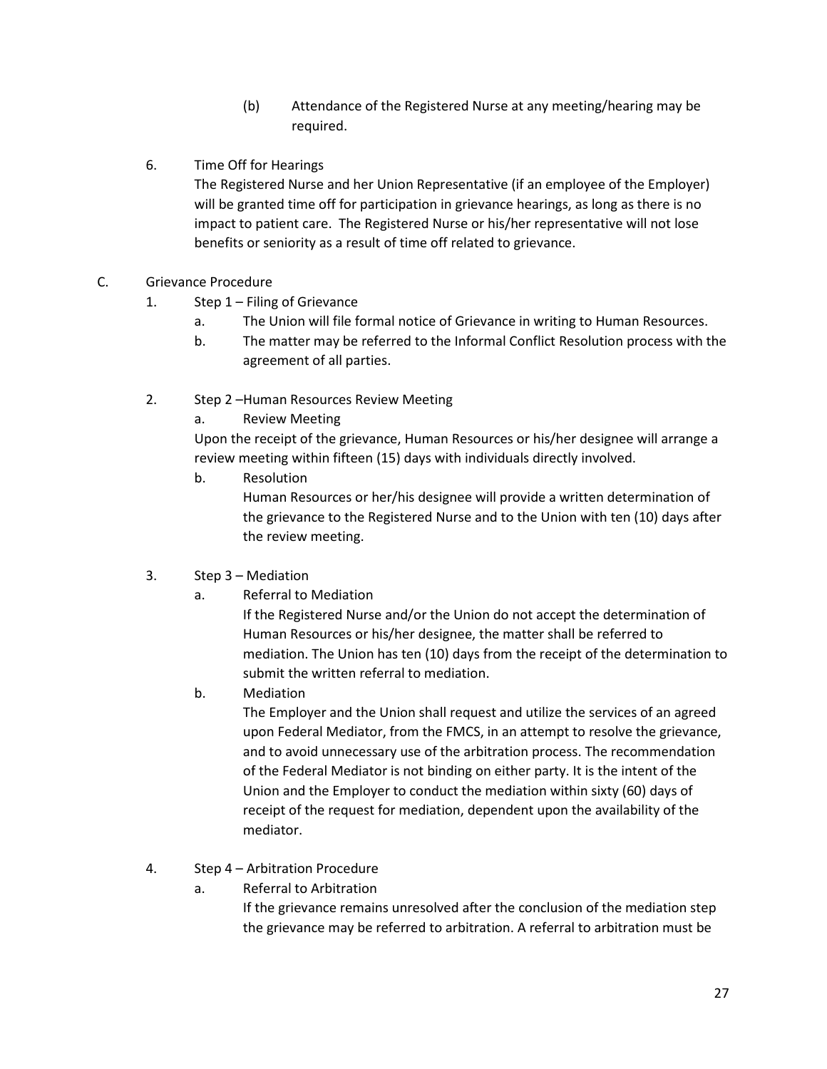- (b) Attendance of the Registered Nurse at any meeting/hearing may be required.
- 6. Time Off for Hearings

The Registered Nurse and her Union Representative (if an employee of the Employer) will be granted time off for participation in grievance hearings, as long as there is no impact to patient care. The Registered Nurse or his/her representative will not lose benefits or seniority as a result of time off related to grievance.

- C. Grievance Procedure
	- 1. Step 1 Filing of Grievance
		- a. The Union will file formal notice of Grievance in writing to Human Resources.
		- b. The matter may be referred to the Informal Conflict Resolution process with the agreement of all parties.
	- 2. Step 2 –Human Resources Review Meeting
		- a. Review Meeting

Upon the receipt of the grievance, Human Resources or his/her designee will arrange a review meeting within fifteen (15) days with individuals directly involved.

- b. Resolution Human Resources or her/his designee will provide a written determination of the grievance to the Registered Nurse and to the Union with ten (10) days after the review meeting.
- 3. Step 3 Mediation
	- a. Referral to Mediation

If the Registered Nurse and/or the Union do not accept the determination of Human Resources or his/her designee, the matter shall be referred to mediation. The Union has ten (10) days from the receipt of the determination to submit the written referral to mediation.

b. Mediation

The Employer and the Union shall request and utilize the services of an agreed upon Federal Mediator, from the FMCS, in an attempt to resolve the grievance, and to avoid unnecessary use of the arbitration process. The recommendation of the Federal Mediator is not binding on either party. It is the intent of the Union and the Employer to conduct the mediation within sixty (60) days of receipt of the request for mediation, dependent upon the availability of the mediator.

- 4. Step 4 Arbitration Procedure
	- a. Referral to Arbitration

If the grievance remains unresolved after the conclusion of the mediation step the grievance may be referred to arbitration. A referral to arbitration must be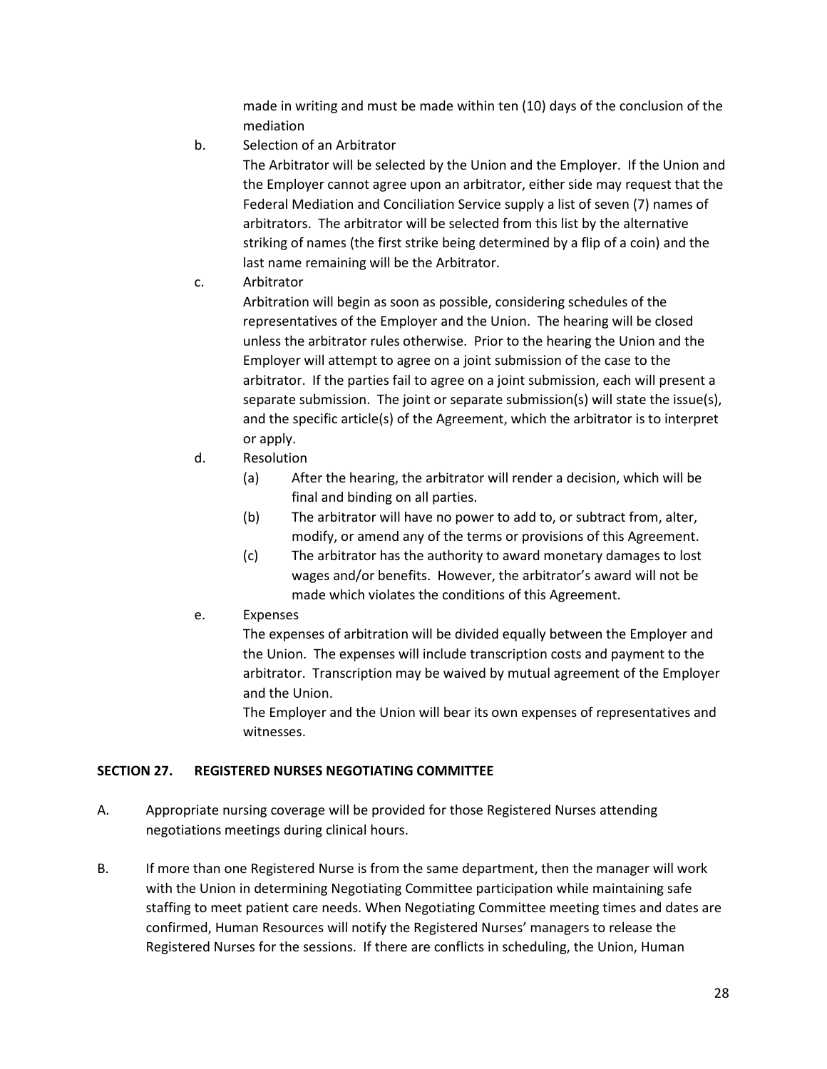made in writing and must be made within ten (10) days of the conclusion of the mediation

b. Selection of an Arbitrator

The Arbitrator will be selected by the Union and the Employer. If the Union and the Employer cannot agree upon an arbitrator, either side may request that the Federal Mediation and Conciliation Service supply a list of seven (7) names of arbitrators. The arbitrator will be selected from this list by the alternative striking of names (the first strike being determined by a flip of a coin) and the last name remaining will be the Arbitrator.

c. Arbitrator

Arbitration will begin as soon as possible, considering schedules of the representatives of the Employer and the Union. The hearing will be closed unless the arbitrator rules otherwise. Prior to the hearing the Union and the Employer will attempt to agree on a joint submission of the case to the arbitrator. If the parties fail to agree on a joint submission, each will present a separate submission. The joint or separate submission(s) will state the issue(s), and the specific article(s) of the Agreement, which the arbitrator is to interpret or apply.

- d. Resolution
	- (a) After the hearing, the arbitrator will render a decision, which will be final and binding on all parties.
	- (b) The arbitrator will have no power to add to, or subtract from, alter, modify, or amend any of the terms or provisions of this Agreement.
	- (c) The arbitrator has the authority to award monetary damages to lost wages and/or benefits. However, the arbitrator's award will not be made which violates the conditions of this Agreement.
- e. Expenses

The expenses of arbitration will be divided equally between the Employer and the Union. The expenses will include transcription costs and payment to the arbitrator. Transcription may be waived by mutual agreement of the Employer and the Union.

The Employer and the Union will bear its own expenses of representatives and witnesses.

#### **SECTION 27. REGISTERED NURSES NEGOTIATING COMMITTEE**

- A. Appropriate nursing coverage will be provided for those Registered Nurses attending negotiations meetings during clinical hours.
- B. If more than one Registered Nurse is from the same department, then the manager will work with the Union in determining Negotiating Committee participation while maintaining safe staffing to meet patient care needs. When Negotiating Committee meeting times and dates are confirmed, Human Resources will notify the Registered Nurses' managers to release the Registered Nurses for the sessions. If there are conflicts in scheduling, the Union, Human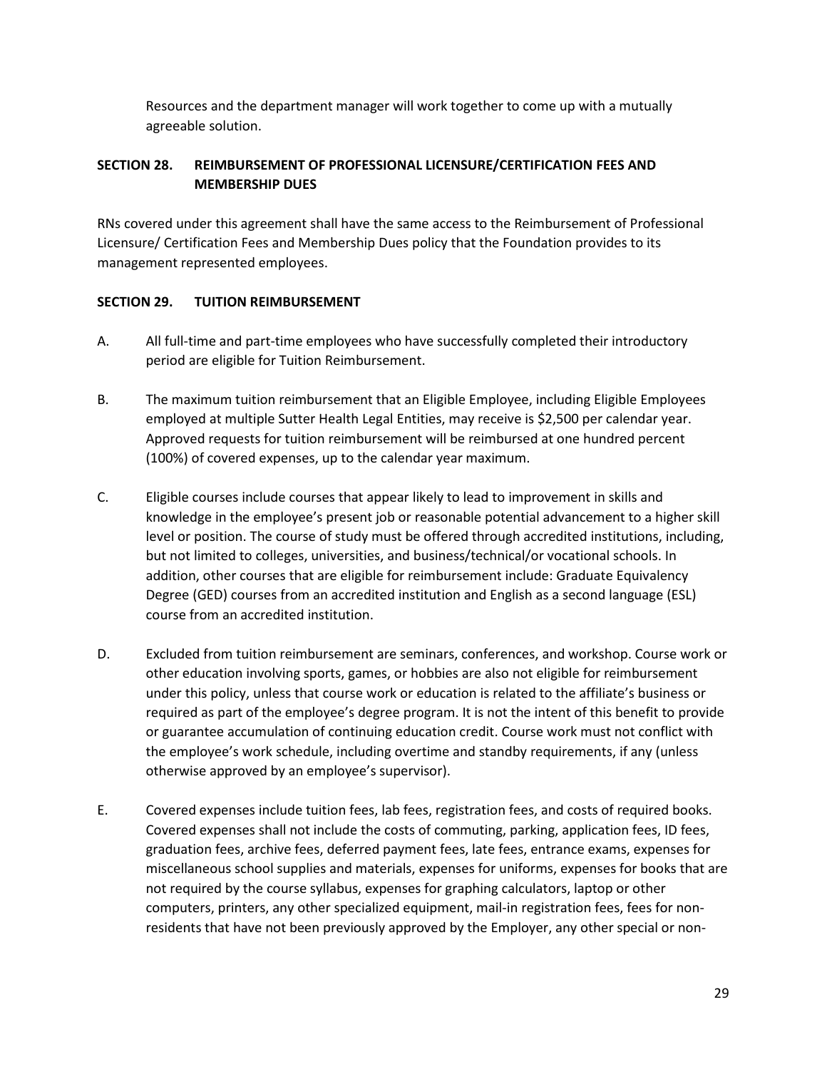Resources and the department manager will work together to come up with a mutually agreeable solution.

# **SECTION 28. REIMBURSEMENT OF PROFESSIONAL LICENSURE/CERTIFICATION FEES AND MEMBERSHIP DUES**

RNs covered under this agreement shall have the same access to the Reimbursement of Professional Licensure/ Certification Fees and Membership Dues policy that the Foundation provides to its management represented employees.

# **SECTION 29. TUITION REIMBURSEMENT**

- A. All full-time and part-time employees who have successfully completed their introductory period are eligible for Tuition Reimbursement.
- B. The maximum tuition reimbursement that an Eligible Employee, including Eligible Employees employed at multiple Sutter Health Legal Entities, may receive is \$2,500 per calendar year. Approved requests for tuition reimbursement will be reimbursed at one hundred percent (100%) of covered expenses, up to the calendar year maximum.
- C. Eligible courses include courses that appear likely to lead to improvement in skills and knowledge in the employee's present job or reasonable potential advancement to a higher skill level or position. The course of study must be offered through accredited institutions, including, but not limited to colleges, universities, and business/technical/or vocational schools. In addition, other courses that are eligible for reimbursement include: Graduate Equivalency Degree (GED) courses from an accredited institution and English as a second language (ESL) course from an accredited institution.
- D. Excluded from tuition reimbursement are seminars, conferences, and workshop. Course work or other education involving sports, games, or hobbies are also not eligible for reimbursement under this policy, unless that course work or education is related to the affiliate's business or required as part of the employee's degree program. It is not the intent of this benefit to provide or guarantee accumulation of continuing education credit. Course work must not conflict with the employee's work schedule, including overtime and standby requirements, if any (unless otherwise approved by an employee's supervisor).
- E. Covered expenses include tuition fees, lab fees, registration fees, and costs of required books. Covered expenses shall not include the costs of commuting, parking, application fees, ID fees, graduation fees, archive fees, deferred payment fees, late fees, entrance exams, expenses for miscellaneous school supplies and materials, expenses for uniforms, expenses for books that are not required by the course syllabus, expenses for graphing calculators, laptop or other computers, printers, any other specialized equipment, mail-in registration fees, fees for nonresidents that have not been previously approved by the Employer, any other special or non-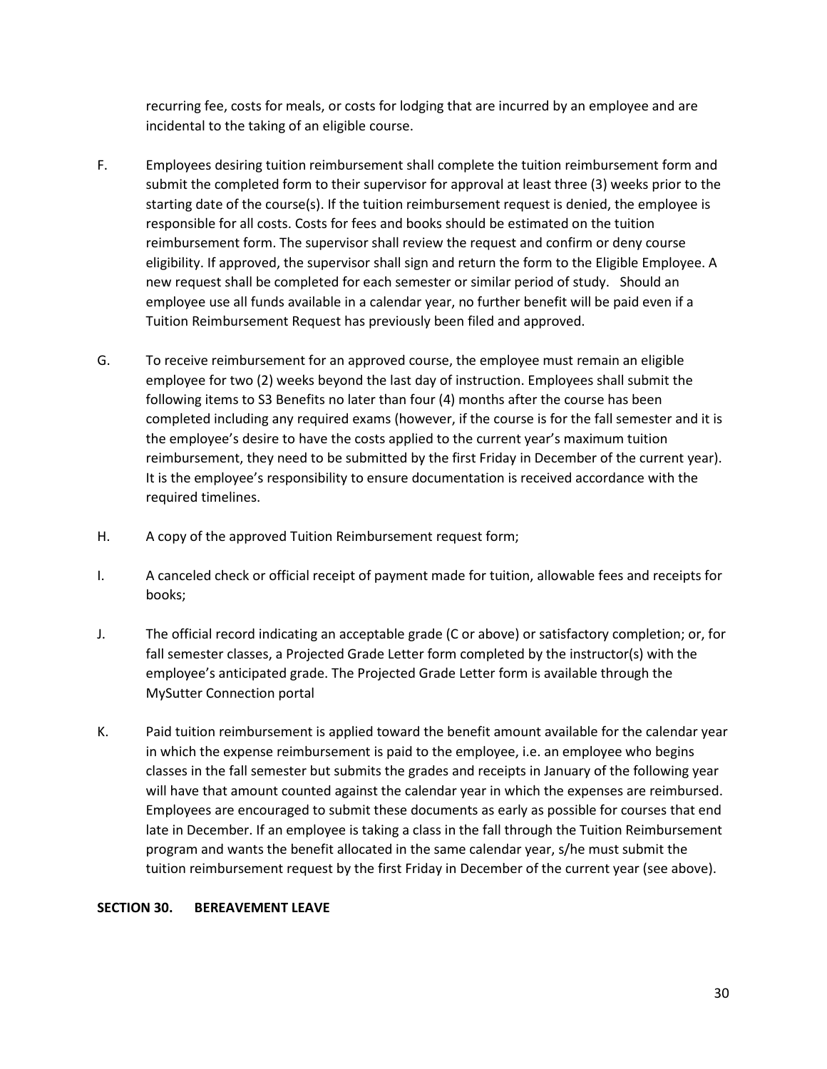recurring fee, costs for meals, or costs for lodging that are incurred by an employee and are incidental to the taking of an eligible course.

- F. Employees desiring tuition reimbursement shall complete the tuition reimbursement form and submit the completed form to their supervisor for approval at least three (3) weeks prior to the starting date of the course(s). If the tuition reimbursement request is denied, the employee is responsible for all costs. Costs for fees and books should be estimated on the tuition reimbursement form. The supervisor shall review the request and confirm or deny course eligibility. If approved, the supervisor shall sign and return the form to the Eligible Employee. A new request shall be completed for each semester or similar period of study. Should an employee use all funds available in a calendar year, no further benefit will be paid even if a Tuition Reimbursement Request has previously been filed and approved.
- G. To receive reimbursement for an approved course, the employee must remain an eligible employee for two (2) weeks beyond the last day of instruction. Employees shall submit the following items to S3 Benefits no later than four (4) months after the course has been completed including any required exams (however, if the course is for the fall semester and it is the employee's desire to have the costs applied to the current year's maximum tuition reimbursement, they need to be submitted by the first Friday in December of the current year). It is the employee's responsibility to ensure documentation is received accordance with the required timelines.
- H. A copy of the approved Tuition Reimbursement request form;
- I. A canceled check or official receipt of payment made for tuition, allowable fees and receipts for books;
- J. The official record indicating an acceptable grade (C or above) or satisfactory completion; or, for fall semester classes, a Projected Grade Letter form completed by the instructor(s) with the employee's anticipated grade. The Projected Grade Letter form is available through the MySutter Connection portal
- K. Paid tuition reimbursement is applied toward the benefit amount available for the calendar year in which the expense reimbursement is paid to the employee, i.e. an employee who begins classes in the fall semester but submits the grades and receipts in January of the following year will have that amount counted against the calendar year in which the expenses are reimbursed. Employees are encouraged to submit these documents as early as possible for courses that end late in December. If an employee is taking a class in the fall through the Tuition Reimbursement program and wants the benefit allocated in the same calendar year, s/he must submit the tuition reimbursement request by the first Friday in December of the current year (see above).

# **SECTION 30. BEREAVEMENT LEAVE**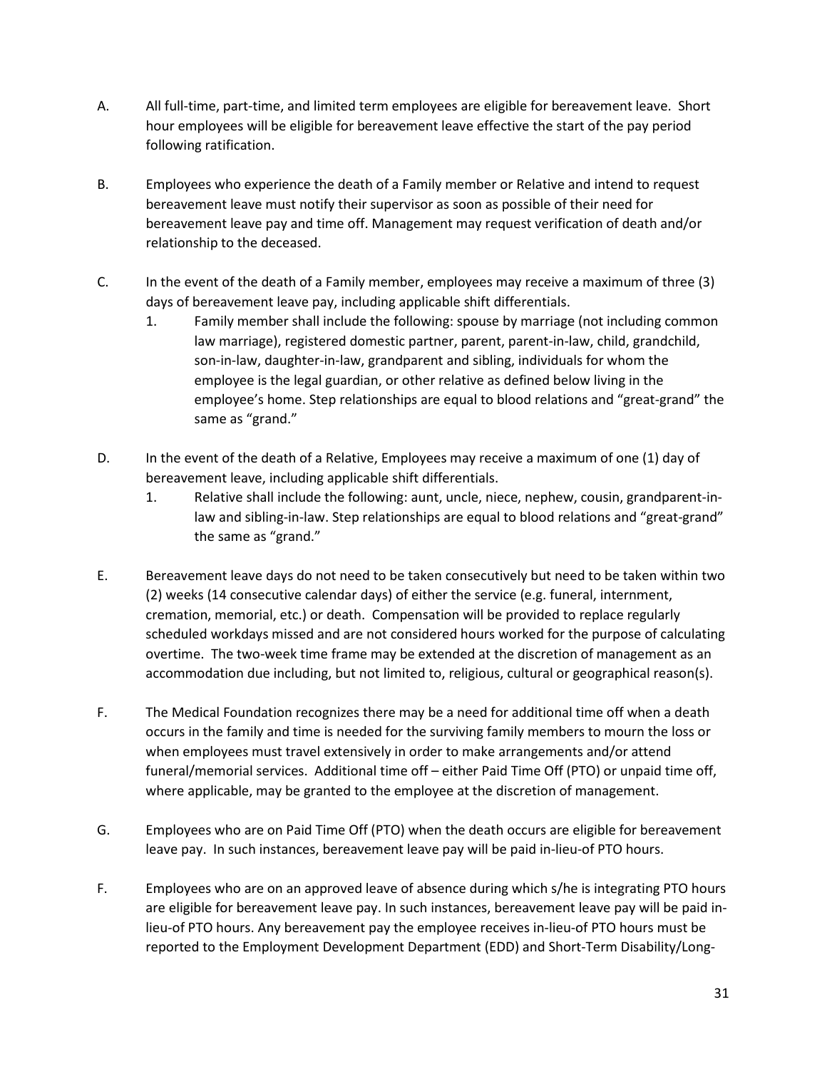- A. All full-time, part-time, and limited term employees are eligible for bereavement leave. Short hour employees will be eligible for bereavement leave effective the start of the pay period following ratification.
- B. Employees who experience the death of a Family member or Relative and intend to request bereavement leave must notify their supervisor as soon as possible of their need for bereavement leave pay and time off. Management may request verification of death and/or relationship to the deceased.
- C. In the event of the death of a Family member, employees may receive a maximum of three (3) days of bereavement leave pay, including applicable shift differentials.
	- 1. Family member shall include the following: spouse by marriage (not including common law marriage), registered domestic partner, parent, parent-in-law, child, grandchild, son-in-law, daughter-in-law, grandparent and sibling, individuals for whom the employee is the legal guardian, or other relative as defined below living in the employee's home. Step relationships are equal to blood relations and "great-grand" the same as "grand."
- D. In the event of the death of a Relative, Employees may receive a maximum of one (1) day of bereavement leave, including applicable shift differentials.
	- 1. Relative shall include the following: aunt, uncle, niece, nephew, cousin, grandparent-inlaw and sibling-in-law. Step relationships are equal to blood relations and "great-grand" the same as "grand."
- E. Bereavement leave days do not need to be taken consecutively but need to be taken within two (2) weeks (14 consecutive calendar days) of either the service (e.g. funeral, internment, cremation, memorial, etc.) or death. Compensation will be provided to replace regularly scheduled workdays missed and are not considered hours worked for the purpose of calculating overtime. The two-week time frame may be extended at the discretion of management as an accommodation due including, but not limited to, religious, cultural or geographical reason(s).
- F. The Medical Foundation recognizes there may be a need for additional time off when a death occurs in the family and time is needed for the surviving family members to mourn the loss or when employees must travel extensively in order to make arrangements and/or attend funeral/memorial services. Additional time off – either Paid Time Off (PTO) or unpaid time off, where applicable, may be granted to the employee at the discretion of management.
- G. Employees who are on Paid Time Off (PTO) when the death occurs are eligible for bereavement leave pay. In such instances, bereavement leave pay will be paid in-lieu-of PTO hours.
- F. Employees who are on an approved leave of absence during which s/he is integrating PTO hours are eligible for bereavement leave pay. In such instances, bereavement leave pay will be paid inlieu-of PTO hours. Any bereavement pay the employee receives in-lieu-of PTO hours must be reported to the Employment Development Department (EDD) and Short-Term Disability/Long-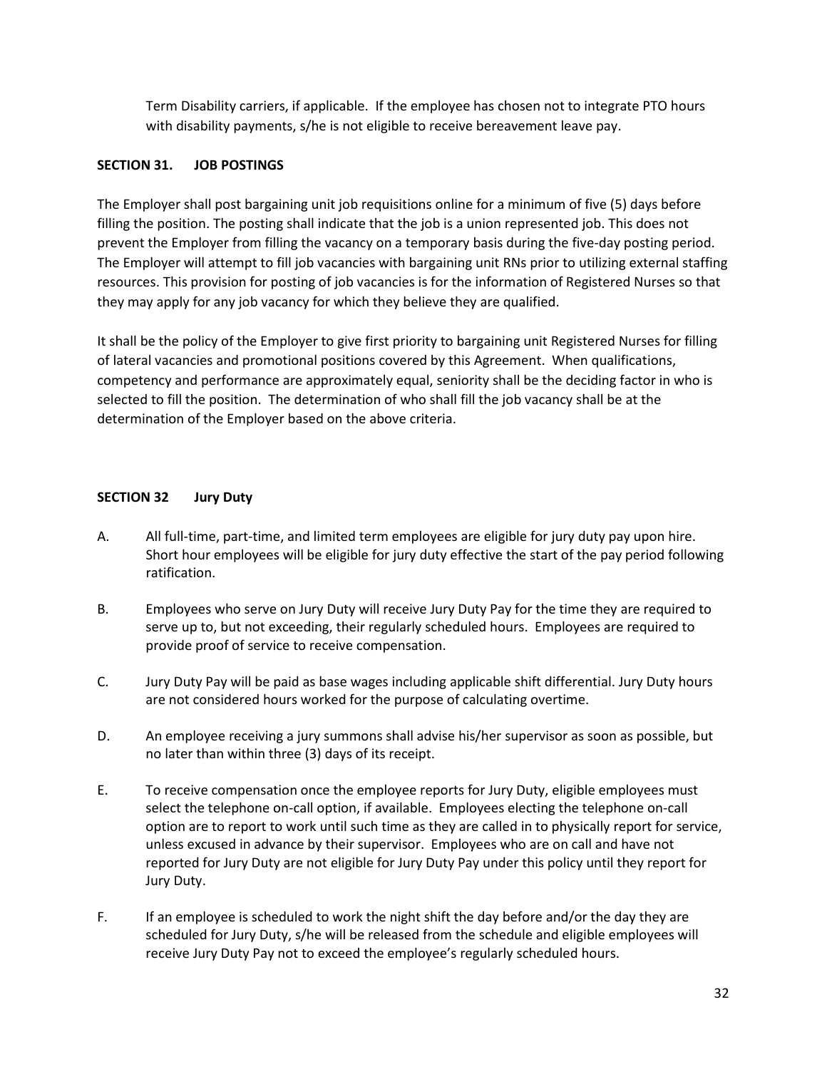Term Disability carriers, if applicable. If the employee has chosen not to integrate PTO hours with disability payments, s/he is not eligible to receive bereavement leave pay.

### **SECTION 31. JOB POSTINGS**

The Employer shall post bargaining unit job requisitions online for a minimum of five (5) days before filling the position. The posting shall indicate that the job is a union represented job. This does not prevent the Employer from filling the vacancy on a temporary basis during the five-day posting period. The Employer will attempt to fill job vacancies with bargaining unit RNs prior to utilizing external staffing resources. This provision for posting of job vacancies is for the information of Registered Nurses so that they may apply for any job vacancy for which they believe they are qualified.

It shall be the policy of the Employer to give first priority to bargaining unit Registered Nurses for filling of lateral vacancies and promotional positions covered by this Agreement. When qualifications, competency and performance are approximately equal, seniority shall be the deciding factor in who is selected to fill the position. The determination of who shall fill the job vacancy shall be at the determination of the Employer based on the above criteria.

# **SECTION 32 Jury Duty**

- A. All full-time, part-time, and limited term employees are eligible for jury duty pay upon hire. Short hour employees will be eligible for jury duty effective the start of the pay period following ratification.
- B. Employees who serve on Jury Duty will receive Jury Duty Pay for the time they are required to serve up to, but not exceeding, their regularly scheduled hours. Employees are required to provide proof of service to receive compensation.
- C. Jury Duty Pay will be paid as base wages including applicable shift differential. Jury Duty hours are not considered hours worked for the purpose of calculating overtime.
- D. An employee receiving a jury summons shall advise his/her supervisor as soon as possible, but no later than within three (3) days of its receipt.
- E. To receive compensation once the employee reports for Jury Duty, eligible employees must select the telephone on-call option, if available. Employees electing the telephone on-call option are to report to work until such time as they are called in to physically report for service, unless excused in advance by their supervisor. Employees who are on call and have not reported for Jury Duty are not eligible for Jury Duty Pay under this policy until they report for Jury Duty.
- F. If an employee is scheduled to work the night shift the day before and/or the day they are scheduled for Jury Duty, s/he will be released from the schedule and eligible employees will receive Jury Duty Pay not to exceed the employee's regularly scheduled hours.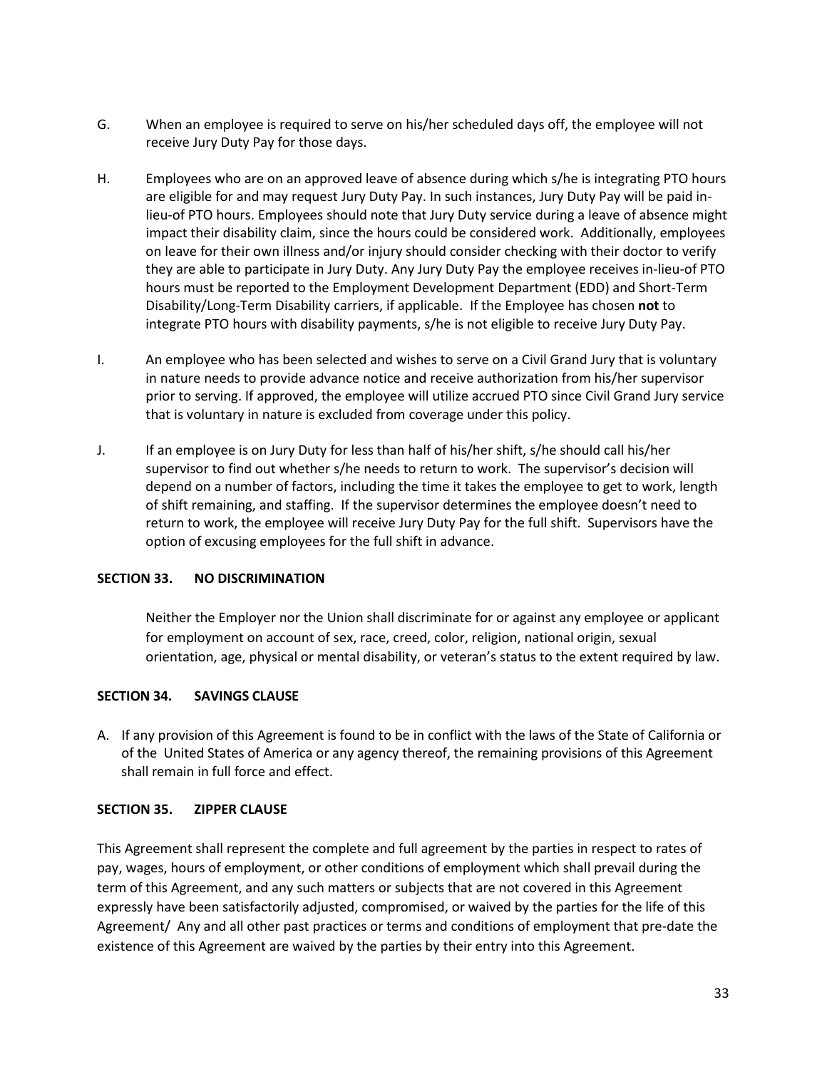- G. When an employee is required to serve on his/her scheduled days off, the employee will not receive Jury Duty Pay for those days.
- H. Employees who are on an approved leave of absence during which s/he is integrating PTO hours are eligible for and may request Jury Duty Pay. In such instances, Jury Duty Pay will be paid inlieu-of PTO hours. Employees should note that Jury Duty service during a leave of absence might impact their disability claim, since the hours could be considered work. Additionally, employees on leave for their own illness and/or injury should consider checking with their doctor to verify they are able to participate in Jury Duty. Any Jury Duty Pay the employee receives in-lieu-of PTO hours must be reported to the Employment Development Department (EDD) and Short-Term Disability/Long-Term Disability carriers, if applicable. If the Employee has chosen **not** to integrate PTO hours with disability payments, s/he is not eligible to receive Jury Duty Pay.
- I. An employee who has been selected and wishes to serve on a Civil Grand Jury that is voluntary in nature needs to provide advance notice and receive authorization from his/her supervisor prior to serving. If approved, the employee will utilize accrued PTO since Civil Grand Jury service that is voluntary in nature is excluded from coverage under this policy.
- J. If an employee is on Jury Duty for less than half of his/her shift, s/he should call his/her supervisor to find out whether s/he needs to return to work. The supervisor's decision will depend on a number of factors, including the time it takes the employee to get to work, length of shift remaining, and staffing. If the supervisor determines the employee doesn't need to return to work, the employee will receive Jury Duty Pay for the full shift. Supervisors have the option of excusing employees for the full shift in advance.

#### **SECTION 33. NO DISCRIMINATION**

Neither the Employer nor the Union shall discriminate for or against any employee or applicant for employment on account of sex, race, creed, color, religion, national origin, sexual orientation, age, physical or mental disability, or veteran's status to the extent required by law.

#### **SECTION 34. SAVINGS CLAUSE**

A. If any provision of this Agreement is found to be in conflict with the laws of the State of California or of the United States of America or any agency thereof, the remaining provisions of this Agreement shall remain in full force and effect.

#### **SECTION 35. ZIPPER CLAUSE**

This Agreement shall represent the complete and full agreement by the parties in respect to rates of pay, wages, hours of employment, or other conditions of employment which shall prevail during the term of this Agreement, and any such matters or subjects that are not covered in this Agreement expressly have been satisfactorily adjusted, compromised, or waived by the parties for the life of this Agreement/ Any and all other past practices or terms and conditions of employment that pre-date the existence of this Agreement are waived by the parties by their entry into this Agreement.